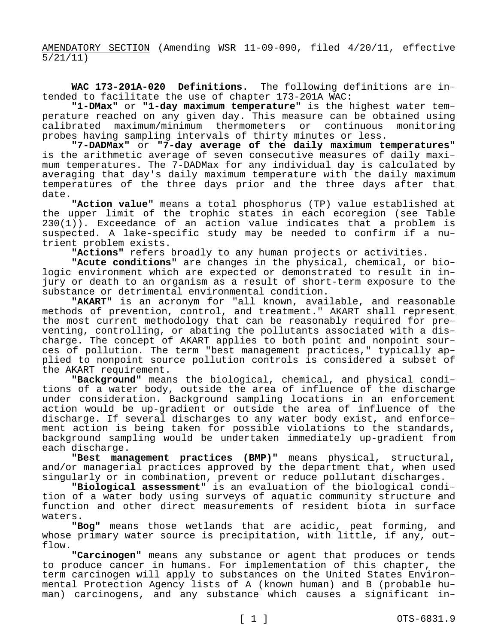AMENDATORY SECTION (Amending WSR 11-09-090, filed 4/20/11, effective 5/21/11)

**WAC 173-201A-020 Definitions.** The following definitions are intended to facilitate the use of chapter 173-201A WAC:

**"1-DMax"** or **"1-day maximum temperature"** is the highest water temperature reached on any given day. This measure can be obtained using<br>calibrated maximum/minimum thermometers or continuous monitoring calibrated maximum/minimum thermometers or continuous probes having sampling intervals of thirty minutes or less.

**"7-DADMax"** or **"7-day average of the daily maximum temperatures"**  is the arithmetic average of seven consecutive measures of daily maximum temperatures. The 7-DADMax for any individual day is calculated by averaging that day's daily maximum temperature with the daily maximum temperatures of the three days prior and the three days after that date.

**"Action value"** means a total phosphorus (TP) value established at the upper limit of the trophic states in each ecoregion (see Table 230(1)). Exceedance of an action value indicates that a problem is suspected. A lake-specific study may be needed to confirm if a nutrient problem exists.

**"Actions"** refers broadly to any human projects or activities.

**"Acute conditions"** are changes in the physical, chemical, or biologic environment which are expected or demonstrated to result in injury or death to an organism as a result of short-term exposure to the substance or detrimental environmental condition.

**"AKART"** is an acronym for "all known, available, and reasonable methods of prevention, control, and treatment." AKART shall represent the most current methodology that can be reasonably required for preventing, controlling, or abating the pollutants associated with a discharge. The concept of AKART applies to both point and nonpoint sources of pollution. The term "best management practices," typically applied to nonpoint source pollution controls is considered a subset of the AKART requirement.

**"Background"** means the biological, chemical, and physical conditions of a water body, outside the area of influence of the discharge under consideration. Background sampling locations in an enforcement action would be up-gradient or outside the area of influence of the discharge. If several discharges to any water body exist, and enforcement action is being taken for possible violations to the standards, background sampling would be undertaken immediately up-gradient from each discharge.

**"Best management practices (BMP)"** means physical, structural, and/or managerial practices approved by the department that, when used singularly or in combination, prevent or reduce pollutant discharges.

**"Biological assessment"** is an evaluation of the biological condition of a water body using surveys of aquatic community structure and function and other direct measurements of resident biota in surface waters.

**"Bog"** means those wetlands that are acidic, peat forming, and whose primary water source is precipitation, with little, if any, outflow.

**"Carcinogen"** means any substance or agent that produces or tends to produce cancer in humans. For implementation of this chapter, the term carcinogen will apply to substances on the United States Environmental Protection Agency lists of A (known human) and B (probable human) carcinogens, and any substance which causes a significant in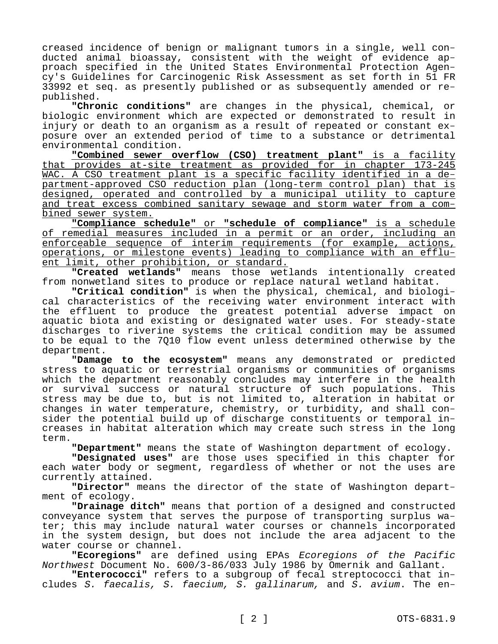creased incidence of benign or malignant tumors in a single, well conducted animal bioassay, consistent with the weight of evidence approach specified in the United States Environmental Protection Agency's Guidelines for Carcinogenic Risk Assessment as set forth in 51 FR 33992 et seq. as presently published or as subsequently amended or republished.

**"Chronic conditions"** are changes in the physical, chemical, or biologic environment which are expected or demonstrated to result in injury or death to an organism as a result of repeated or constant exposure over an extended period of time to a substance or detrimental environmental condition.

**"Combined sewer overflow (CSO) treatment plant"** is a facility that provides at-site treatment as provided for in chapter 173-245 WAC. A CSO treatment plant is a specific facility identified in a department-approved CSO reduction plan (long-term control plan) that is designed, operated and controlled by a municipal utility to capture and treat excess combined sanitary sewage and storm water from a combined sewer system.

**"Compliance schedule"** or **"schedule of compliance"** is a schedule of remedial measures included in a permit or an order, including an enforceable sequence of interim requirements (for example, actions, operations, or milestone events) leading to compliance with an effluent limit, other prohibition, or standard.

**"Created wetlands"** means those wetlands intentionally created from nonwetland sites to produce or replace natural wetland habitat.

**"Critical condition"** is when the physical, chemical, and biological characteristics of the receiving water environment interact with the effluent to produce the greatest potential adverse impact on aquatic biota and existing or designated water uses. For steady-state discharges to riverine systems the critical condition may be assumed to be equal to the 7Q10 flow event unless determined otherwise by the department.

**"Damage to the ecosystem"** means any demonstrated or predicted stress to aquatic or terrestrial organisms or communities of organisms which the department reasonably concludes may interfere in the health or survival success or natural structure of such populations. This stress may be due to, but is not limited to, alteration in habitat or changes in water temperature, chemistry, or turbidity, and shall consider the potential build up of discharge constituents or temporal increases in habitat alteration which may create such stress in the long term.

**"Department"** means the state of Washington department of ecology.

**"Designated uses"** are those uses specified in this chapter for each water body or segment, regardless of whether or not the uses are currently attained.

**"Director"** means the director of the state of Washington department of ecology.

**"Drainage ditch"** means that portion of a designed and constructed conveyance system that serves the purpose of transporting surplus water; this may include natural water courses or channels incorporated in the system design, but does not include the area adjacent to the water course or channel.

**"Ecoregions"** are defined using EPAs *Ecoregions of the Pacific Northwest* Document No. 600/3-86/033 July 1986 by Omernik and Gallant.

**"Enterococci"** refers to a subgroup of fecal streptococci that includes *S. faecalis, S. faecium, S. gallinarum,* and *S. avium*. The en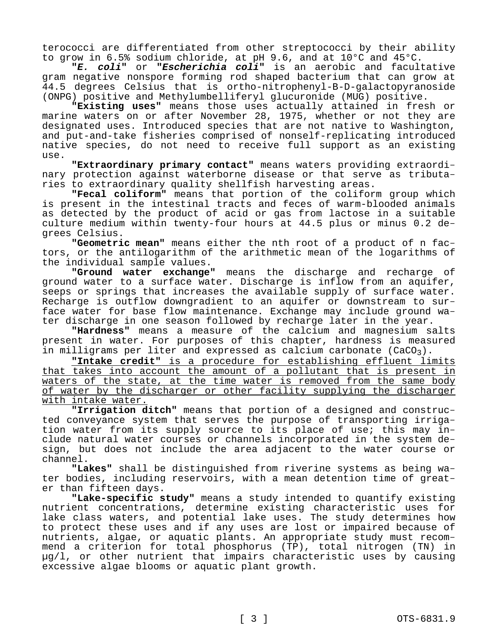terococci are differentiated from other streptococci by their ability to grow in 6.5% sodium chloride, at pH 9.6, and at 10°C and 45°C.

**"***E. coli***"** or **"***Escherichia coli***"** is an aerobic and facultative gram negative nonspore forming rod shaped bacterium that can grow at 44.5 degrees Celsius that is ortho-nitrophenyl-B-D-galactopyranoside (ONPG) positive and Methylumbelliferyl glucuronide (MUG) positive.

**"Existing uses"** means those uses actually attained in fresh or marine waters on or after November 28, 1975, whether or not they are designated uses. Introduced species that are not native to Washington, and put-and-take fisheries comprised of nonself-replicating introduced native species, do not need to receive full support as an existing use.

**"Extraordinary primary contact"** means waters providing extraordinary protection against waterborne disease or that serve as tributaries to extraordinary quality shellfish harvesting areas.

**"Fecal coliform"** means that portion of the coliform group which is present in the intestinal tracts and feces of warm-blooded animals as detected by the product of acid or gas from lactose in a suitable culture medium within twenty-four hours at 44.5 plus or minus 0.2 degrees Celsius.

**"Geometric mean"** means either the nth root of a product of n factors, or the antilogarithm of the arithmetic mean of the logarithms of the individual sample values.

**"Ground water exchange"** means the discharge and recharge of ground water to a surface water. Discharge is inflow from an aquifer, seeps or springs that increases the available supply of surface water. Recharge is outflow downgradient to an aquifer or downstream to surface water for base flow maintenance. Exchange may include ground water discharge in one season followed by recharge later in the year.

**"Hardness"** means a measure of the calcium and magnesium salts present in water. For purposes of this chapter, hardness is measured in milligrams per liter and expressed as calcium carbonate  $(CaCO<sub>3</sub>)$ .

**"Intake credit"** is a procedure for establishing effluent limits that takes into account the amount of a pollutant that is present in waters of the state, at the time water is removed from the same body of water by the discharger or other facility supplying the discharger with intake water.

**"Irrigation ditch"** means that portion of a designed and constructed conveyance system that serves the purpose of transporting irrigation water from its supply source to its place of use; this may include natural water courses or channels incorporated in the system design, but does not include the area adjacent to the water course or channel.

**"Lakes"** shall be distinguished from riverine systems as being water bodies, including reservoirs, with a mean detention time of greater than fifteen days.

**"Lake-specific study"** means a study intended to quantify existing nutrient concentrations, determine existing characteristic uses for lake class waters, and potential lake uses. The study determines how to protect these uses and if any uses are lost or impaired because of nutrients, algae, or aquatic plants. An appropriate study must recommend a criterion for total phosphorus (TP), total nitrogen (TN) in µg/l, or other nutrient that impairs characteristic uses by causing excessive algae blooms or aquatic plant growth.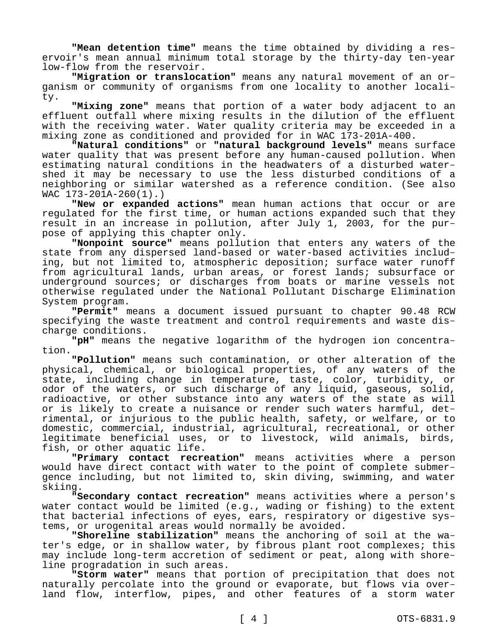**"Mean detention time"** means the time obtained by dividing a reservoir's mean annual minimum total storage by the thirty-day ten-year low-flow from the reservoir.

**"Migration or translocation"** means any natural movement of an organism or community of organisms from one locality to another locality.

**"Mixing zone"** means that portion of a water body adjacent to an effluent outfall where mixing results in the dilution of the effluent with the receiving water. Water quality criteria may be exceeded in a mixing zone as conditioned and provided for in WAC 173-201A-400.

**"Natural conditions"** or **"natural background levels"** means surface water quality that was present before any human-caused pollution. When estimating natural conditions in the headwaters of a disturbed watershed it may be necessary to use the less disturbed conditions of a neighboring or similar watershed as a reference condition. (See also WAC 173-201A-260(1).)

**"New or expanded actions"** mean human actions that occur or are regulated for the first time, or human actions expanded such that they result in an increase in pollution, after July 1, 2003, for the purpose of applying this chapter only.

**"Nonpoint source"** means pollution that enters any waters of the state from any dispersed land-based or water-based activities including, but not limited to, atmospheric deposition; surface water runoff from agricultural lands, urban areas, or forest lands; subsurface or underground sources; or discharges from boats or marine vessels not otherwise regulated under the National Pollutant Discharge Elimination System program.

**"Permit"** means a document issued pursuant to chapter 90.48 RCW specifying the waste treatment and control requirements and waste discharge conditions.

**"pH"** means the negative logarithm of the hydrogen ion concentration.

**"Pollution"** means such contamination, or other alteration of the physical, chemical, or biological properties, of any waters of the state, including change in temperature, taste, color, turbidity, or odor of the waters, or such discharge of any liquid, gaseous, solid, radioactive, or other substance into any waters of the state as will or is likely to create a nuisance or render such waters harmful, detrimental, or injurious to the public health, safety, or welfare, or to domestic, commercial, industrial, agricultural, recreational, or other legitimate beneficial uses, or to livestock, wild animals, birds, fish, or other aquatic life.

**"Primary contact recreation"** means activities where a person would have direct contact with water to the point of complete submergence including, but not limited to, skin diving, swimming, and water skiing.

**"Secondary contact recreation"** means activities where a person's water contact would be limited (e.g., wading or fishing) to the extent that bacterial infections of eyes, ears, respiratory or digestive systems, or urogenital areas would normally be avoided.

**"Shoreline stabilization"** means the anchoring of soil at the water's edge, or in shallow water, by fibrous plant root complexes; this may include long-term accretion of sediment or peat, along with shoreline progradation in such areas.

**"Storm water"** means that portion of precipitation that does not naturally percolate into the ground or evaporate, but flows via overland flow, interflow, pipes, and other features of a storm water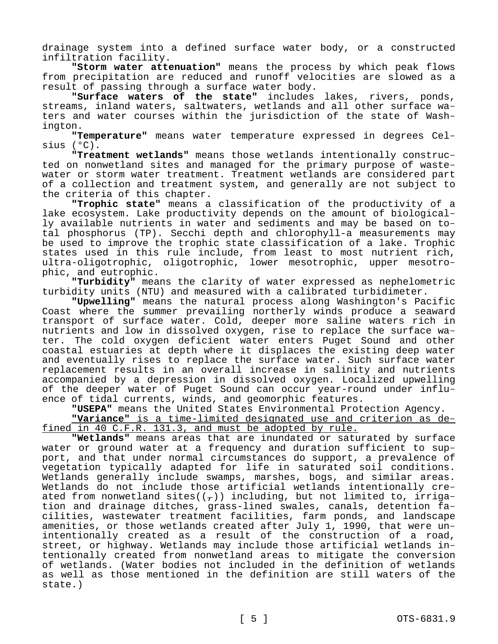drainage system into a defined surface water body, or a constructed infiltration facility.

**"Storm water attenuation"** means the process by which peak flows from precipitation are reduced and runoff velocities are slowed as a result of passing through a surface water body.

**"Surface waters of the state"** includes lakes, rivers, ponds, streams, inland waters, saltwaters, wetlands and all other surface waters and water courses within the jurisdiction of the state of Washington.

**"Temperature"** means water temperature expressed in degrees Celsius (°C).

**"Treatment wetlands"** means those wetlands intentionally constructed on nonwetland sites and managed for the primary purpose of wastewater or storm water treatment. Treatment wetlands are considered part of a collection and treatment system, and generally are not subject to the criteria of this chapter.

**"Trophic state"** means a classification of the productivity of a lake ecosystem. Lake productivity depends on the amount of biologically available nutrients in water and sediments and may be based on total phosphorus (TP). Secchi depth and chlorophyll-a measurements may be used to improve the trophic state classification of a lake. Trophic states used in this rule include, from least to most nutrient rich, ultra-oligotrophic, oligotrophic, lower mesotrophic, upper mesotrophic, and eutrophic.

**"Turbidity"** means the clarity of water expressed as nephelometric turbidity units (NTU) and measured with a calibrated turbidimeter.

**"Upwelling"** means the natural process along Washington's Pacific Coast where the summer prevailing northerly winds produce a seaward transport of surface water. Cold, deeper more saline waters rich in nutrients and low in dissolved oxygen, rise to replace the surface water. The cold oxygen deficient water enters Puget Sound and other coastal estuaries at depth where it displaces the existing deep water and eventually rises to replace the surface water. Such surface water replacement results in an overall increase in salinity and nutrients accompanied by a depression in dissolved oxygen. Localized upwelling of the deeper water of Puget Sound can occur year-round under influence of tidal currents, winds, and geomorphic features.

**"USEPA"** means the United States Environmental Protection Agency.

**"Variance"** is a time-limited designated use and criterion as defined in 40 C.F.R. 131.3, and must be adopted by rule.

**"Wetlands"** means areas that are inundated or saturated by surface water or ground water at a frequency and duration sufficient to support, and that under normal circumstances do support, a prevalence of vegetation typically adapted for life in saturated soil conditions. Wetlands generally include swamps, marshes, bogs, and similar areas. Wetlands do not include those artificial wetlands intentionally created from nonwetland sites( $(\tau)$ ) including, but not limited to, irrigation and drainage ditches, grass-lined swales, canals, detention facilities, wastewater treatment facilities, farm ponds, and landscape amenities, or those wetlands created after July 1, 1990, that were unintentionally created as a result of the construction of a road, street, or highway. Wetlands may include those artificial wetlands intentionally created from nonwetland areas to mitigate the conversion of wetlands. (Water bodies not included in the definition of wetlands as well as those mentioned in the definition are still waters of the state.)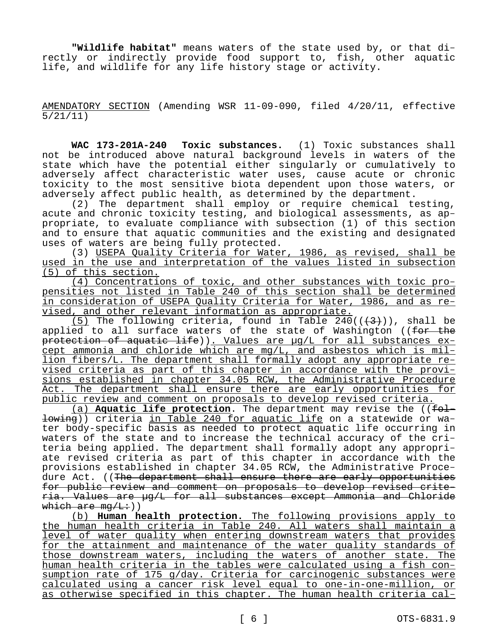**"Wildlife habitat"** means waters of the state used by, or that directly or indirectly provide food support to, fish, other aquatic life, and wildlife for any life history stage or activity.

AMENDATORY SECTION (Amending WSR 11-09-090, filed 4/20/11, effective 5/21/11)

**WAC 173-201A-240 Toxic substances.** (1) Toxic substances shall not be introduced above natural background levels in waters of the state which have the potential either singularly or cumulatively to adversely affect characteristic water uses, cause acute or chronic toxicity to the most sensitive biota dependent upon those waters, or adversely affect public health, as determined by the department.

(2) The department shall employ or require chemical testing, acute and chronic toxicity testing, and biological assessments, as appropriate, to evaluate compliance with subsection (1) of this section and to ensure that aquatic communities and the existing and designated uses of waters are being fully protected.

(3) USEPA Quality Criteria for Water, 1986, as revised, shall be used in the use and interpretation of the values listed in subsection (5) of this section.

(4) Concentrations of toxic, and other substances with toxic propensities not listed in Table 240 of this section shall be determined in consideration of USEPA Quality Criteria for Water, 1986, and as revised, and other relevant information as appropriate.

(5) The following criteria, found in Table  $240((\frac{4}{3}))$ , shall be applied to all surface waters of the state of Washington ((for the protection of aquatic life)). Values are µg/L for all substances except ammonia and chloride which are mg/L, and asbestos which is million fibers/L. The department shall formally adopt any appropriate revised criteria as part of this chapter in accordance with the provisions established in chapter 34.05 RCW, the Administrative Procedure Act. The department shall ensure there are early opportunities for public review and comment on proposals to develop revised criteria.

(a) **Aquatic life protection**. The department may revise the ((following)) criteria in Table 240 for aquatic life on a statewide or water body-specific basis as needed to protect aquatic life occurring in waters of the state and to increase the technical accuracy of the criteria being applied. The department shall formally adopt any appropriate revised criteria as part of this chapter in accordance with the provisions established in chapter 34.05 RCW, the Administrative Procedure Act. ((The department shall ensure there are early opportunities for public review and comment on proposals to develop revised criteria. Values are µg/L for all substances except Ammonia and Chloride which are  $mq/L:$ ))

(b) **Human health protection.** The following provisions apply to the human health criteria in Table 240. All waters shall maintain a level of water quality when entering downstream waters that provides for the attainment and maintenance of the water quality standards of those downstream waters, including the waters of another state. The human health criteria in the tables were calculated using a fish consumption rate of 175 g/day. Criteria for carcinogenic substances were calculated using a cancer risk level equal to one-in-one-million, or as otherwise specified in this chapter. The human health criteria cal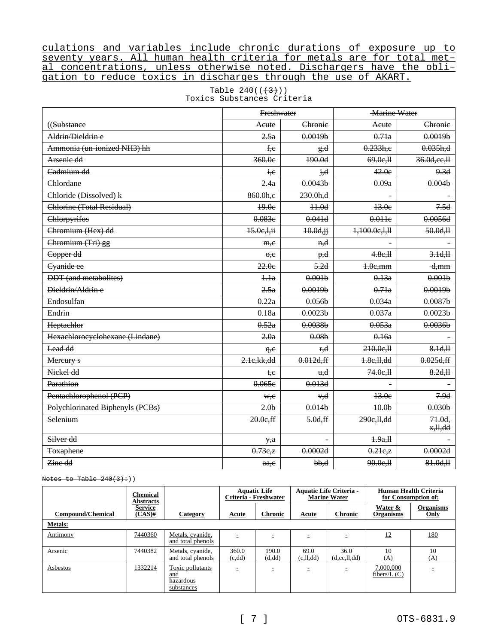culations and variables include chronic durations of exposure up to seventy years. All human health criteria for metals are for total metal concentrations, unless otherwise noted. Dischargers have the obligation to reduce toxics in discharges through the use of AKART.

|                                  | Freshwater          |                     | <b>Marine Water</b>  |                       |  |
|----------------------------------|---------------------|---------------------|----------------------|-----------------------|--|
| ((Substance                      | Aeute               | Chronie             | Acute                | Chronie               |  |
| Aldrin/Dieldrin e                | 2.5a                | 0.0019 <sub>b</sub> | 0.71a                | 0.0019 <sub>b</sub>   |  |
| Ammonia (un-ionized NH3) hh      | f,e                 | g,d                 | 0.233h,e             | 0.035h,d              |  |
| Arsenie dd                       | 360.0e              | 190.0d              | 69.0e, H             | 36.0d, ee, H          |  |
| Cadmium dd                       | i.e                 | j,d                 | 42.0e                | 9.3d                  |  |
| Chlordane                        | 2.4a                | 0.0043 <sub>b</sub> | 0.09a                | 0.004 <sub>b</sub>    |  |
| Chloride (Dissolved) k           | 860.0h,e            | 230.0h.d            |                      |                       |  |
| Chlorine (Total Residual)        | 49.0e               | $+4.0d$             | 13.0e                | 7.5d                  |  |
| Chlorpyrifos                     | 0.083e              | 0.041d              | 0.011e               | 0.0056d               |  |
| Chromium (Hex) dd                | 15.0e, 1, ii        | 10.0d, j            | 1,100.0c,1,11        | 50.0d, H              |  |
| Chromium (Tri) gg                | m.e                 | n,d                 |                      |                       |  |
| Copper dd                        | $\theta$ . $\theta$ | p,d                 | 4.8e, H              | 3.1d, H               |  |
| Cyanide ee                       | 22.0e               | 5.2d                | $1.0e$ , mm          | <del>d,mm</del>       |  |
| <b>DDT</b> (and metabolites)     | 1.1a                | 0.001 <sub>b</sub>  | 0.13a                | 0.001 <sub>b</sub>    |  |
| Dieldrin/Aldrin e                | 2.5a                | 0.0019 <sub>b</sub> | 0.71a                | 0.0019 <sub>b</sub>   |  |
| Endosulfan                       | 0.22a               | 0.056 <sub>b</sub>  | 0.034a               | 0.0087 <sub>b</sub>   |  |
| Endrin                           | 0.18a               | 0.0023b             | 0.037a               | 0.0023 <sub>b</sub>   |  |
| Heptachlor                       | 0.52a               | 0.0038 <sub>b</sub> | 0.053a               | 0.0036 <sub>b</sub>   |  |
| Hexachloroeyelohexane (Lindane)  | 2.0a                | 0.08 <sub>b</sub>   | 0.16a                |                       |  |
| Lead dd                          | q, e                | r <del>.d</del>     | 210.0e, H            | 8.1d, H               |  |
| Mereury s                        | 2.1e, kk, dd        | 0.012d, ff          | 4.8e, H, dd          | 0.025d, ff            |  |
| Niekel dd                        | t <del>,c</del>     | <del>u.d</del>      | 74.0e, H             | 8.2d, H               |  |
| Parathion                        | 0.065e              | 0.013d              |                      |                       |  |
| Pentachlorophenol (PCP)          | ₩,e                 | v,d                 | 13.0e                | 7.9d                  |  |
| Polychlorinated Biphenyls (PCBs) | 2.0 <sub>b</sub>    | 0.014 <sub>b</sub>  | $+0.0b$              | 0.030 <sub>b</sub>    |  |
| Selenium                         | 20.0e,ff            | 5.0d, ff            | 290e, H, dd          | $71.0d$ ,<br>x, H, dd |  |
| Silver dd                        | y, a                |                     | 4.9a.H               |                       |  |
| <b>Toxaphene</b>                 | 0.73e,z             | 0.0002d             | $0.21e$ <sub>z</sub> | 0.0002d               |  |
| Zine dd                          | a.e.                | $b\cdot d$          | 90.0e, H             | 81.0d, H              |  |

Table  $240((+3))$ Toxics Substances Criteria

Notes to Table  $240(3)+)$ 

|                   | Chemical<br><b>Abstracts</b> |                                                    | <b>Aquatic Life</b><br>Criteria - Freshwater |                  | <b>Aquatic Life Criteria -</b><br><b>Marine Water</b> |                         | <b>Human Health Criteria</b><br>for Consumption of: |                          |
|-------------------|------------------------------|----------------------------------------------------|----------------------------------------------|------------------|-------------------------------------------------------|-------------------------|-----------------------------------------------------|--------------------------|
| Compound/Chemical | <b>Service</b><br>$(CAS)$ #  | Category                                           | Acute                                        | <b>Chronic</b>   | <b>Acute</b>                                          | <b>Chronic</b>          | Water &<br><b>Organisms</b>                         | <b>Organisms</b><br>Only |
| <b>Metals:</b>    |                              |                                                    |                                              |                  |                                                       |                         |                                                     |                          |
| Antimony          | 7440360                      | Metals, cyanide,<br>and total phenols              |                                              |                  |                                                       |                         | 12                                                  | 180                      |
| Arsenic           | 7440382                      | Metals, cyanide,<br>and total phenols              | 360.0<br>(c, dd)                             | 190.0<br>(d, dd) | 69.0<br>(c,ll,dd)                                     | 36.0<br>(d, cc, ll, dd) | $\frac{10}{(A)}$                                    | <u>10</u><br>(A)         |
| Asbestos          | 1332214                      | Toxic pollutants<br>and<br>hazardous<br>substances |                                              | -                |                                                       | -                       | 7,000,000<br>fibers/ $L(C)$                         |                          |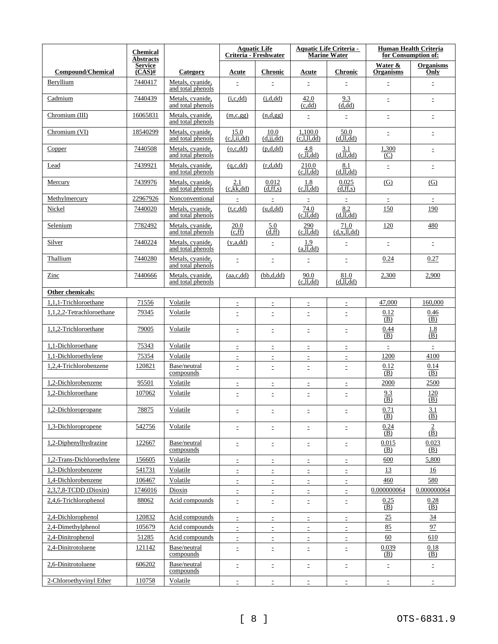|                            | <b>Chemical</b><br><b>Abstracts</b>              |                                       | <b>Aquatic Life</b><br>Criteria - Freshwater          |                     | <b>Aquatic Life Criteria -</b><br><b>Marine Water</b> |                              | <b>Human Health Criteria</b><br>for Consumption of: |                                                                                                              |
|----------------------------|--------------------------------------------------|---------------------------------------|-------------------------------------------------------|---------------------|-------------------------------------------------------|------------------------------|-----------------------------------------------------|--------------------------------------------------------------------------------------------------------------|
| <b>Compound/Chemical</b>   | <b>Service</b><br>$\overline{\text{(CAS)}^{\#}}$ | Category                              | Acute                                                 | <b>Chronic</b>      | Acute                                                 | <b>Chronic</b>               | Water &<br><b>Organisms</b>                         | <b>Organisms</b><br>Only                                                                                     |
| Beryllium                  | 7440417                                          | Metals, cyanide,<br>and total phenols | $\equiv$                                              | $\equiv$            | $\bar{\Xi}$                                           | Ė,                           | $\Xi$                                               | $\mathbb{Z}^+$                                                                                               |
| Cadmium                    | 7440439                                          | Metals, cyanide,<br>and total phenols | (i, c, dd)                                            | (i,d,dd)            | 42.0<br>(c, dd)                                       | 9.3<br>(d, dd)               | $\equiv$                                            | $\Xi$                                                                                                        |
| Chromium (III)             | 16065831                                         | Metals, cvanide,<br>and total phenols | (m,c,gg)                                              | (n,d,gg)            | $\bar{\Xi}$                                           | Ė.                           | $\bar{\Xi}$                                         | Ė,                                                                                                           |
| Chromium (VI)              | 18540299                                         | Metals, cvanide,<br>and total phenols | 15.0<br>$(c,\overline{l},\overline{i},\overline{d}d)$ | 10.0<br>(d, jj, dd) | 1,100.0<br>$\overline{(c,l,l,dd)}$                    | 50.0<br>(d,ll,dd)            | $\equiv$                                            | $\equiv$                                                                                                     |
| Copper                     | 7440508                                          | Metals, cvanide,<br>and total phenols | (o,c,dd)                                              | (p,d,dd)            | 4.8<br>(c,ll,dd)                                      | 3.1<br>(d,ll,dd)             | 1,300<br>(C)                                        | $\bar{\Xi}$                                                                                                  |
| Lead                       | 7439921                                          | Metals, cyanide,<br>and total phenols | (q, c, dd)                                            | (r,d,dd)            | 210.0<br>(c,ll,dd)                                    | 8.1<br>$(d,\overline{l},dd)$ | $\equiv$                                            | Ė,                                                                                                           |
| Mercury                    | 7439976                                          | Metals, cyanide,<br>and total phenols | 2.1<br>(c, kk, dd)                                    | 0.012<br>(d, ff, s) | 1.8<br>(c,ll,dd)                                      | 0.025<br>(d, ff, s)          | (G)                                                 | (G)                                                                                                          |
| Methylmercury              | 22967926                                         | Nonconventional                       | $\equiv$                                              | $\mathbb{D}$        | $\mathbb{D}$                                          | $\mathbb{D}$                 | $\mathbb{D}$                                        | $\mathbb{D}$                                                                                                 |
| Nickel                     | 7440020                                          | Metals, cvanide.<br>and total phenols | (t, c, dd)                                            | (u,d,dd)            | 74.0<br>(c,ll,dd)                                     | 8.2<br>$(d,\overline{l},dd)$ | 150                                                 | 190                                                                                                          |
| Selenium                   | 7782492                                          | Metals, cyanide,<br>and total phenols | 20.0<br>(c, ff)                                       | 5.0<br>(d, ff)      | 290<br>(c,ll,dd)                                      | 71.0<br>(d, x, ll, dd)       | 120                                                 | 480                                                                                                          |
| Silver                     | 7440224                                          | Metals, cyanide,<br>and total phenols | (y, a, dd)                                            | $\bar{\Xi}$         | 1.9<br>(a,ll,dd)                                      | $\equiv$                     | $\bar{\Xi}$                                         | Ė,                                                                                                           |
| Thallium                   | 7440280                                          | Metals, cvanide,<br>and total phenols | $\equiv$                                              | $\equiv$            | $\bar{\Xi}$                                           | Ė.                           | 0.24                                                | 0.27                                                                                                         |
| Zinc                       | 7440666                                          | Metals, cvanide,<br>and total phenols | (aa,c,dd)                                             | (bb.d.dd)           | 90.0<br>(c,ll,dd)                                     | 81.0<br>(d,ll,dd)            | 2,300                                               | 2,900                                                                                                        |
| Other chemicals:           |                                                  |                                       |                                                       |                     |                                                       |                              |                                                     |                                                                                                              |
| 1,1,1-Trichloroethane      | 71556                                            | Volatile                              | $\bar{z}$                                             | $\bar{z}$           | $\mathbb{D}$                                          | $\mathbb{D}$                 | 47,000                                              | 160,000                                                                                                      |
| 1,1,2,2-Tetrachloroethane  | 79345                                            | Volatile                              | E                                                     | $\bar{z}$           | $\equiv$                                              | $\equiv$                     | 0.12<br>(B)                                         | 0.46<br>(B)                                                                                                  |
| 1,1,2-Trichloroethane      | 79005                                            | Volatile                              | $\equiv$                                              | $\equiv$            | $\equiv$                                              | $\equiv$                     | 0.44<br>(B)                                         | 1.8<br>(B)                                                                                                   |
| 1,1-Dichloroethane         | 75343                                            | Volatile                              | $\bar{z}$                                             | $\bar{z}$           | $\bar{z}$                                             | Ξ                            | $\bar{z}$                                           | $\mathbb{E}% _{t}\left\  \mathcal{F}_{t}\right\  _{1}\leq\mathbb{E}_{t}\left\  \mathcal{F}_{t}\right\  _{1}$ |
| 1,1-Dichloroethylene       | 75354                                            | Volatile                              | $\equiv$                                              | $\mathbb{D}$        | $\mathbb{I}$                                          | $\equiv$                     | 1200                                                | 4100                                                                                                         |
| 1,2,4-Trichlorobenzene     | 120821                                           | Base/neutral<br>compounds             | $\equiv$                                              | $\bar{\Xi}$         | $\bar{\Xi}$                                           | Ė.                           | 0.12<br>(B)                                         | 0.14<br>(B)                                                                                                  |
| 1,2-Dichlorobenzene        | 95501                                            | Volatile                              | $\equiv$                                              | $\equiv$            | Ξ                                                     | $\equiv$                     | 2000                                                | 2500                                                                                                         |
| 1,2-Dichloroethane         | 107062                                           | Volatile                              | $\equiv$                                              | $\equiv$            | $\bar{z}$                                             | $\equiv$                     | 9.3<br>$\overline{(B)}$                             | 120<br>$\overline{(B)}$                                                                                      |
| 1,2-Dichloropropane        | 78875                                            | Volatile                              | Ξ                                                     | $\Xi^-$             | $\Xi$                                                 | ÷,                           | 0.71<br><u>(B)</u>                                  | <u>3.1</u><br>(B)                                                                                            |
| 1,3-Dichloropropene        | 542756                                           | Volatile                              | Ė,                                                    | Ė,                  | $\mathbb{D}$                                          | Ė,                           | 0.24<br>(B)                                         | $\frac{2}{(\overline{B})}$                                                                                   |
| 1,2-Diphenylhydrazine      | 122667                                           | Base/neutral<br>compounds             | Ξ                                                     | $\equiv$            | $\mathbb{E}$                                          | E,                           | 0.015<br>(B)                                        | 0.023<br>(B)                                                                                                 |
| 1,2-Trans-Dichloroethylene | 156605                                           | Volatile                              | $\equiv$                                              | $\Xi^-$             | ÷,                                                    | Ė,                           | 600                                                 | 5,800                                                                                                        |
| 1,3-Dichlorobenzene        | 541731                                           | Volatile                              | $\equiv$                                              | $\equiv$            | $\mathbb{E}$                                          | Ė,                           | 13                                                  | 16                                                                                                           |
| 1,4-Dichlorobenzene        | 106467                                           | Volatile                              | Ξ                                                     | $\equiv$            | $\bar{\Xi}$                                           | Ξ                            | 460                                                 | 580                                                                                                          |
| 2,3,7,8-TCDD (Dioxin)      | 1746016                                          | Dioxin                                | $\equiv$                                              | Ξ                   | $\mathbb{D}$                                          | $\equiv$                     | 0.000000064                                         | 0.000000064                                                                                                  |
| 2,4,6-Trichlorophenol      | 88062                                            | Acid compounds                        | $\equiv$                                              | Ξ                   | Ė,                                                    | Ė.                           | 0.25<br>(B)                                         | 0.28<br>(B)                                                                                                  |
| 2,4-Dichlorophenol         | 120832                                           | Acid compounds                        | Ξ                                                     | $\Xi^-$             | $\Xi$                                                 | Ė,                           | 25                                                  | 34                                                                                                           |
| 2,4-Dimethylphenol         | 105679                                           | Acid compounds                        | Ė,                                                    | $\Xi^-$             | $\Xi$                                                 | E,                           | 85                                                  | 97                                                                                                           |
| 2,4-Dinitrophenol          | 51285                                            | Acid compounds                        | $\equiv$                                              | E,                  | $\mathbb{D}$                                          | Ė,                           | 60                                                  | 610                                                                                                          |
| 2,4-Dinitrotoluene         | 121142                                           | Base/neutral<br>compounds             | Ė,                                                    | $\Xi$               | $\Xi$                                                 | Ė,                           | 0.039<br>(B)                                        | 0.18<br>(B)                                                                                                  |
| 2,6-Dinitrotoluene         | 606202                                           | Base/neutral<br>compounds             | Ξ                                                     | Ξ                   | $\mathbb{I}$                                          | ÷,                           | $\mathbb{I}$                                        | ÷,                                                                                                           |
| 2-Chloroethyvinyl Ether    | 110758                                           | Volatile                              | $\equiv$                                              | $\Xi$               | $\Xi$                                                 | Ė.                           | $\Xi$                                               | $\mathbb{E}^{\mathbb{I}}$                                                                                    |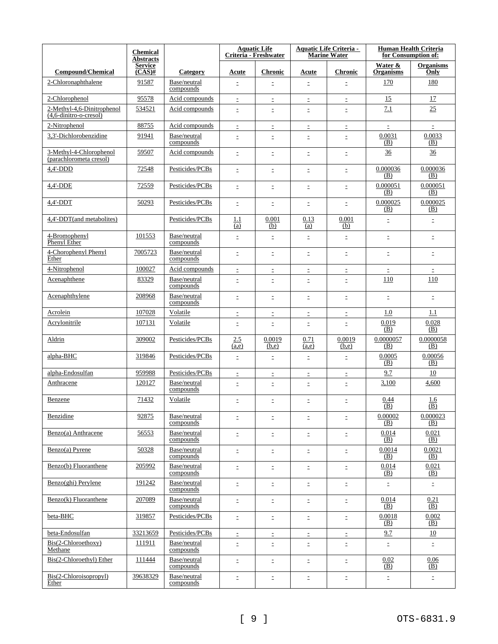|                                                      | <b>Chemical</b><br><b>Abstracts</b> |                           | <b>Aquatic Life</b><br>Criteria - Freshwater |                 | <b>Aquatic Life Criteria -</b><br><b>Marine Water</b> |                 | <b>Human Health Criteria</b><br>for Consumption of: |                           |
|------------------------------------------------------|-------------------------------------|---------------------------|----------------------------------------------|-----------------|-------------------------------------------------------|-----------------|-----------------------------------------------------|---------------------------|
| <b>Compound/Chemical</b>                             | <b>Service</b><br>$(CAS)$ #         | Category                  | Acute                                        | <b>Chronic</b>  | Acute                                                 | <b>Chronic</b>  | Water &<br><b>Organisms</b>                         | <b>Organisms</b><br>Only  |
| 2-Chloronaphthalene                                  | 91587                               | Base/neutral<br>compounds | $\equiv$                                     | Ξ               | ÷.                                                    | Ξ               | 170                                                 | 180                       |
| 2-Chlorophenol                                       | 95578                               | Acid compounds            | $\equiv$                                     | $\mathbb{D}$    | $\mathbb{D}$                                          | Ė,              | 15                                                  | 17                        |
| 2-Methyl-4,6-Dinitrophenol<br>(4,6-dinitro-o-cresol) | 534521                              | Acid compounds            | $\equiv$                                     | $\equiv$        | $\equiv$                                              | $\equiv$        | 7.1                                                 | 25                        |
| 2-Nitrophenol                                        | 88755                               | Acid compounds            | $\equiv$                                     | $\equiv$        | $\equiv$                                              | $\equiv$        | $\bar{\Xi}$                                         | È.                        |
| 3,3'-Dichlorobenzidine                               | 91941                               | Base/neutral<br>compounds | $\equiv$                                     | $\equiv$        | $\equiv$                                              | $\equiv$        | 0.0031<br>(B)                                       | 0.0033<br>(B)             |
| 3-Methyl-4-Chlorophenol<br>(parachlorometa cresol)   | 59507                               | Acid compounds            | $\equiv$                                     | $\bar{\Xi}$     | $\mathbb{E}$                                          | $\equiv$        | $\frac{36}{5}$                                      | 36                        |
| $4,4'$ -DDD                                          | 72548                               | Pesticides/PCBs           | $\equiv$                                     | Ξ               | $\equiv$                                              | $\equiv$        | 0.000036<br>(B)                                     | 0.000036<br>(B)           |
| 4,4'-DDE                                             | 72559                               | Pesticides/PCBs           | $\equiv$                                     | $\bar{\Xi}$     | $\bar{\Xi}$                                           | $\equiv$        | 0.000051<br>(B)                                     | 0.000051<br>(B)           |
| $4,4'-DDT$                                           | 50293                               | Pesticides/PCBs           | $\equiv$                                     | $\equiv$        | $\equiv$                                              | Ė,              | 0.000025<br>(B)                                     | 0.000025<br>(B)           |
| 4.4'-DDT(and metabolites)                            |                                     | Pesticides/PCBs           | 1.1<br>(a)                                   | 0.001<br>(b)    | 0.13<br><u>(a)</u>                                    | 0.001<br>(b)    | $\bar{\Xi}$                                         | Ė.                        |
| 4-Bromophenyl<br>Phenyl Ether                        | 101553                              | Base/neutral<br>compounds | $\equiv$                                     | $\bar{\Xi}$     | $\bar{\Xi}$                                           | Ė.              | $\Xi$                                               | Ė.                        |
| 4-Chorophenyl Phenyl<br>Ether                        | 7005723                             | Base/neutral<br>compounds | $\equiv$                                     | $\equiv$        | $\mathbb{D}$                                          | $\equiv$        | $\mathbb{D}$                                        | Ė,                        |
| 4-Nitrophenol                                        | 100027                              | Acid compounds            | Ė,                                           | $\mathbb{D}$    | $\mathbb{D}$                                          | Ė,              | $\bar{\Xi}$                                         | $\equiv$                  |
| Acenaphthene                                         | 83329                               | Base/neutral<br>compounds | $\equiv$                                     | $\bar{z}$       | $\mathbb{D}$                                          | $\equiv$        | 110                                                 | 110                       |
| Acenaphthylene                                       | 208968                              | Base/neutral<br>compounds | $\equiv$                                     | Ξ               | $\bar{z}$                                             | $\equiv$        | $\bar{\Xi}$                                         | Ė.                        |
| Acrolein                                             | 107028                              | Volatile                  | Ξ                                            | $\bar{z}$       | $\bar{\Xi}$                                           | $\equiv$        | 1.0                                                 | 1.1                       |
| Acrylonitrile                                        | 107131                              | Volatile                  | $\equiv$                                     | $\bar{z}$       | $\bar{z}$                                             | $\equiv$        | 0.019<br>(B)                                        | 0.028<br>(B)              |
| Aldrin                                               | 309002                              | Pesticides/PCBs           | 2.5<br>(a,e)                                 | 0.0019<br>(b,e) | 0.71<br>(a,e)                                         | 0.0019<br>(b,e) | 0.0000057<br>(B)                                    | 0.0000058<br>(B)          |
| alpha-BHC                                            | 319846                              | Pesticides/PCBs           | $\equiv$                                     | $\bar{z}$       | $\equiv$                                              | $\equiv$        | 0.0005<br>(B)                                       | 0.00056<br>(B)            |
| alpha-Endosulfan                                     | 959988                              | Pesticides/PCBs           | $\equiv$                                     | $\equiv$        | $\bar{z}$                                             | $\equiv$        | 9.7                                                 | 10                        |
| Anthracene                                           | 120127                              | Base/neutral<br>compounds | Ė                                            | $\equiv$        | $\equiv$                                              | Ė,              | 3,100                                               | 4,600                     |
| Benzene                                              | 71432                               | Volatile                  | Ξ                                            | $\equiv$        | $\bar{=}$                                             | Ė,              | 0.44<br>(B)                                         | 1.6<br>(B)                |
| Benzidine                                            | 92875                               | Base/neutral<br>compounds | Ė,                                           | $\Xi$           | $\Xi$                                                 | Ė,              | 0.00002<br>(B)                                      | 0.000023<br>(B)           |
| Benzo(a) Anthracene                                  | 56553                               | Base/neutral<br>compounds | $\equiv$                                     | Ξ               | $\mathbb{D}$                                          | ÷,              | 0.014<br>(B)                                        | 0.021<br>(B)              |
| Benzo(a) Pyrene                                      | 50328                               | Base/neutral<br>compounds | $\equiv$                                     | $\mathbb{D}$    | $\mathbb{D}$                                          | $\equiv$        | 0.0014<br>(B)                                       | 0.0021<br>(B)             |
| Benzo(b) Fluoranthene                                | 205992                              | Base/neutral<br>compounds | $\equiv$                                     | $\equiv$        | $\equiv$                                              | Ė,              | 0.014<br>(B)                                        | 0.021<br>(B)              |
| Benzo(ghi) Perylene                                  | 191242                              | Base/neutral<br>compounds | $\equiv$                                     | $\mathbb{D}$    | $\mathbb{D}$                                          | Ė,              | $\Xi$                                               | $\mathbb{D}^{\mathbb{C}}$ |
| Benzo(k) Fluoranthene                                | 207089                              | Base/neutral<br>compounds | $\equiv$                                     | Ė,              | ÷.                                                    | Ė.              | 0.014<br>(B)                                        | 0.21<br>(B)               |
| beta-BHC                                             | 319857                              | Pesticides/PCBs           | $\equiv$                                     | Ξ               | $\bar{\Xi}$                                           | Ė,              | 0.0018<br>(B)                                       | 0.002<br>(B)              |
| beta-Endosulfan                                      | 33213659                            | Pesticides/PCBs           | Ė,                                           | $\Xi^-$         | $\mathbb{D}$                                          | Ė,              | 9.7                                                 | 10                        |
| Bis(2-Chloroethoxy)<br>Methane                       | 111911                              | Base/neutral<br>compounds | $\equiv$                                     | $\Xi$           | $\mathbb{Z}^+$                                        | Ė,              | $\Xi$                                               | $\Xi^-$                   |
| Bis(2-Chloroethyl) Ether                             | 111444                              | Base/neutral<br>compounds | $\equiv$                                     | Ė,              | ÷,                                                    | Ė,              | 0.02<br><u>(B)</u>                                  | 0.06<br>(B)               |
| Bis(2-Chloroisopropyl)<br>Ether                      | 39638329                            | Base/neutral<br>compounds | $\bar{z}$                                    | $\mathbb{D}$    | $\mathbb{D}$                                          | Ė.              | $\mathbb{E}$                                        | Ė.                        |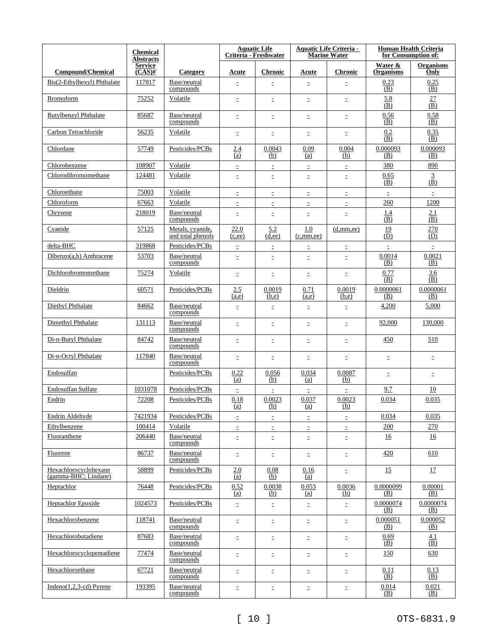|                                               | <b>Chemical</b><br><b>Abstracts</b> |                                       |                | <b>Aquatic Life</b><br>Criteria - Freshwater |                     | <b>Aquatic Life Criteria -</b><br><b>Marine Water</b> |                             | <b>Human Health Criteria</b><br>for Consumption of: |
|-----------------------------------------------|-------------------------------------|---------------------------------------|----------------|----------------------------------------------|---------------------|-------------------------------------------------------|-----------------------------|-----------------------------------------------------|
| <b>Compound/Chemical</b>                      | <b>Service</b><br>$(CAS)$ #         | Category                              | Acute          | <b>Chronic</b>                               | Acute               | <b>Chronic</b>                                        | Water &<br><b>Organisms</b> | <b>Organisms</b><br>Only                            |
| Bis(2-Ethylhexyl) Phthalate                   | 117817                              | Base/neutral<br>compounds             | $\equiv$       | $\bar{z}$                                    | Ξ                   | $\equiv$                                              | 0.23<br>(B)                 | 0.25<br>(B)                                         |
| <b>Bromoform</b>                              | 75252                               | Volatile                              | $\equiv$       | $\mathbb{E}$                                 | $\equiv$            | $\bar{\Xi}$                                           | 5.8<br>(B)                  | 27<br>$\overline{(\overline{B})}$                   |
| <b>Butylbenzyl Phthalate</b>                  | 85687                               | Base/neutral<br>compounds             | $\equiv$       | $\equiv$                                     | $\equiv$            | $\equiv$                                              | 0.56<br>(B)                 | 0.58<br>(B)                                         |
| Carbon Tetrachloride                          | 56235                               | Volatile                              | Ξ              | $\bar{z}$                                    | $\equiv$            | $\equiv$                                              | 0.2<br>(B)                  | 0.35<br>(B)                                         |
| Chlordane                                     | 57749                               | Pesticides/PCBs                       | 2.4<br>(a)     | 0.0043<br>(b)                                | 0.09<br>(a)         | 0.004<br>(b)                                          | 0.000093<br>(B)             | 0.000093<br>(B)                                     |
| Chlorobenzene                                 | 108907                              | Volatile                              | $\equiv$       | $\equiv$                                     | $\bar{=}$           | Ė,                                                    | 380                         | 890                                                 |
| Chlorodibromomethane                          | 124481                              | Volatile                              | $\equiv$       | $\equiv$                                     | $\equiv$            | $\equiv$                                              | 0.65<br>(B)                 | $\overline{3}$<br>$\overline{(\overline{B})}$       |
| Chloroethane                                  | 75003                               | Volatile                              | Ξ              | $\bar{z}$                                    | $\equiv$            | Ė,                                                    | $\bar{\Xi}$                 | $\bar{\Xi}$                                         |
| Chloroform                                    | 67663                               | Volatile                              | $\equiv$       | $\equiv$                                     | $\equiv$            | $\equiv$                                              | 260                         | 1200                                                |
| Chrysene                                      | 218019                              | Base/neutral<br>compounds             | E              | $\equiv$                                     | $\equiv$            | $\equiv$                                              | 1.4<br>(B)                  | 2.1<br>$\overline{(B)}$                             |
| Cyanide                                       | 57125                               | Metals, cyanide,<br>and total phenols | 22.0<br>(c,ee) | 5.2<br>(d,ee)                                | 1.0<br>(c, mm, ee)  | (d, mm, ee)                                           | 19<br>(D)                   | 270<br>(D)                                          |
| delta-BHC                                     | 319868                              | Pesticides/PCBs                       | Ė              | $\equiv$                                     | Ė,                  | Ė,                                                    | $\bar{\Xi}$                 | $\equiv$                                            |
| $Dibenzo(a,h)$ Anthracene                     | 53703                               | Base/neutral<br>compounds             | E              | $\equiv$                                     | Ė                   | $\equiv$                                              | 0.0014<br>(B)               | 0.0021<br>(B)                                       |
| Dichlorobromomethane                          | 75274                               | Volatile                              | Ξ              | $\equiv$                                     | $\bar{=}$           | $\bar{z}$                                             | 0.77<br>(B)                 | 3.6<br>(B)                                          |
| Dieldrin                                      | 60571                               | Pesticides/PCBs                       | 2.5<br>(a,e)   | 0.0019<br>(b,e)                              | 0.71<br>(a,e)       | 0.0019<br>(b,e)                                       | 0.0000061<br>(B)            | 0.0000061<br>(B)                                    |
| Diethyl Phthalate                             | 84662                               | Base/neutral<br>compounds             | $\equiv$       | $\equiv$                                     | Ė,                  | $\equiv$                                              | 4,200                       | 5,000                                               |
| Dimethyl Phthalate                            | 131113                              | Base/neutral<br>compounds             | $\equiv$       | $\bar{z}$                                    | $\bar{z}$           | Ė.                                                    | 92,000                      | 130,000                                             |
| Di-n-Butyl Phthalate                          | 84742                               | Base/neutral<br>compounds             | $\bar{z}$      | $\equiv$                                     | $\equiv$            | $\bar{\Xi}$                                           | 450                         | 510                                                 |
| Di-n-Octyl Phthalate                          | 117840                              | Base/neutral<br>compounds             | $\equiv$       | Ė,                                           | $\equiv$            | $\equiv$                                              | $\mathbb{D}$                | $\mathbb{D}$                                        |
| Endosulfan                                    |                                     | Pesticides/PCBs                       | 0.22<br>(a)    | 0.056<br>(b)                                 | 0.034<br><u>(a)</u> | 0.0087<br>(b)                                         | $\equiv$                    | Ė.                                                  |
| Endosulfan Sulfate                            | 1031078                             | Pesticides/PCBs                       |                |                                              |                     |                                                       | 9.7                         | 10                                                  |
| Endrin                                        | 72208                               | Pesticides/PCBs                       | 0.18<br>(a)    | 0.0023<br>(b)                                | 0.037<br>(a)        | 0.0023<br>(b)                                         | 0.034                       | 0.035                                               |
| Endrin Aldehyde                               | 7421934                             | Pesticides/PCBs                       | $\equiv$       | Ė,                                           | $\mathbb{Z}^+$      | Ė,                                                    | 0.034                       | 0.035                                               |
| Ethylbenzene                                  | 100414                              | Volatile                              | Ė,             | Ė,                                           | Ė,                  | Ė,                                                    | 200                         | 270                                                 |
| Fluoranthene                                  | 206440                              | Base/neutral<br>compounds             | $\equiv$       | $\equiv$                                     | $\Xi$               | $\mathbb{E}^{\mathbb{I}}$                             | <u>16</u>                   | 16                                                  |
| Fluorene                                      | 86737                               | Base/neutral<br>compounds             | Ξ              | $\Xi^-$                                      | $\mathbb{D}$        | Ė,                                                    | 420                         | 610                                                 |
| Hexachlorocyclohexane<br>(gamma-BHC; Lindane) | 58899                               | Pesticides/PCBs                       | 2.0<br>(a)     | $0.08\,$<br>(b)                              | 0.16<br>(a)         | $\equiv$                                              | 15                          | 17                                                  |
| Heptachlor                                    | 76448                               | Pesticides/PCBs                       | 0.52<br>(a)    | 0.0038<br><u>(b)</u>                         | 0.053<br><u>(a)</u> | 0.0036<br><u>(b)</u>                                  | 0.0000099<br>(B)            | 0.00001<br>(B)                                      |
| <b>Heptachlor Epoxide</b>                     | 1024573                             | Pesticides/PCBs                       | Ė.             | ÷.                                           | $\mathbb{D}$        | Ė.                                                    | 0.0000074<br>(B)            | 0.0000074<br>(B)                                    |
| Hexachlorobenzene                             | 118741                              | Base/neutral<br>compounds             | $\equiv$       | Ė.                                           | Ė,                  | Ė.                                                    | 0.000051<br>(B)             | 0.000052<br>(B)                                     |
| Hexachlorobutadiene                           | 87683                               | Base/neutral<br>compounds             | $\equiv$       | $\equiv$                                     | $\Xi$               | ÷.                                                    | 0.69<br>(B)                 | <u>4.1</u><br>(B)                                   |
| Hexachlorocyclopentadiene                     | 77474                               | Base/neutral<br>compounds             | $\equiv$       | E.                                           | ÷.                  | Ė.                                                    | 150                         | 630                                                 |
| Hexachloroethane                              | 67721                               | Base/neutral<br>compounds             | $\equiv$       | $\Xi$                                        | $\mathbb{D}$        | Ė,                                                    | 0.11<br>(B)                 | 0.13<br>(B)                                         |
| $Indeno(1,2,3-cd) Pyrene$                     | 193395                              | Base/neutral<br>compounds             | Ė,             | $\Xi^-$                                      | $\Xi^-$             | $\Xi^-$                                               | 0.014<br><u>(B)</u>         | 0.021<br>(B)                                        |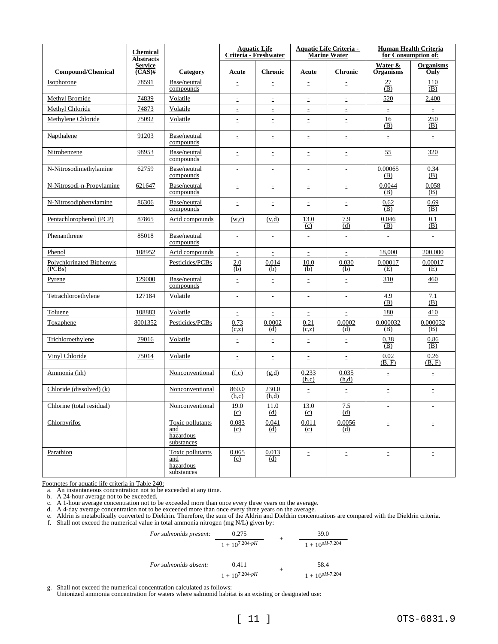|                                     | <b>Chemical</b><br><b>Abstracts</b> |                                                    |                | <b>Aquatic Life</b><br>Criteria - Freshwater |                | <b>Aquatic Life Criteria -</b><br><b>Marine Water</b> |                             | <b>Human Health Criteria</b><br>for Consumption of: |
|-------------------------------------|-------------------------------------|----------------------------------------------------|----------------|----------------------------------------------|----------------|-------------------------------------------------------|-----------------------------|-----------------------------------------------------|
| <b>Compound/Chemical</b>            | <b>Service</b><br>$(CAS)$ #         | Category                                           | Acute          | <b>Chronic</b>                               | Acute          | <b>Chronic</b>                                        | Water &<br><b>Organisms</b> | <b>Organisms</b><br>Only                            |
| Isophorone                          | 78591                               | Base/neutral<br>compounds                          | $\equiv$       | $\equiv$                                     | $\equiv$       | $\equiv$                                              | $\frac{27}{(B)}$            | 110<br>$\overline{(B)}$                             |
| Methyl Bromide                      | 74839                               | Volatile                                           | $\equiv$       | $\bar{\Xi}$                                  | $\bar{\Xi}$    | $\Xi$                                                 | 520                         | 2,400                                               |
| Methyl Chloride                     | 74873                               | Volatile                                           | Ė              | $\equiv$                                     | $\equiv$       | Ė,                                                    | $\equiv$                    | $\bar{\Xi}$                                         |
| Methylene Chloride                  | 75092                               | Volatile                                           | $\equiv$       | $\equiv$                                     | Ė              | $\equiv$                                              | 16<br>(B)                   | 250<br>(B)                                          |
| Napthalene                          | 91203                               | Base/neutral<br>compounds                          | $\equiv$       | Ξ                                            | $\equiv$       | $\equiv$                                              | $\Xi$                       | $\mathbb{E}$                                        |
| Nitrobenzene                        | 98953                               | Base/neutral<br>compounds                          | $\equiv$       | $\equiv$                                     | Ė,             | Ė,                                                    | 55                          | 320                                                 |
| N-Nitrosodimethylamine              | 62759                               | Base/neutral<br>compounds                          | Ė,             | $\bar{z}$                                    | Ė,             | $\mathbb{E}$                                          | 0.00065<br>(B)              | 0.34<br>(B)                                         |
| N-Nitrosodi-n-Propylamine           | 621647                              | Base/neutral<br>compounds                          | $\equiv$       | $\Xi$                                        | $\Xi$          | Ė.                                                    | 0.0044<br>(B)               | 0.058<br>(B)                                        |
| N-Nitrosodiphenylamine              | 86306                               | Base/neutral<br>compounds                          | $\equiv$       | $\equiv$                                     | $\equiv$       | $\equiv$                                              | 0.62<br>(B)                 | 0.69<br>(B)                                         |
| Pentachlorophenol (PCP)             | 87865                               | Acid compounds                                     | (w,c)          | (v,d)                                        | 13.0<br>(c)    | 7.9<br>(d)                                            | 0.046<br>(B)                | 0.1<br>(B)                                          |
| Phenanthrene                        | 85018                               | Base/neutral<br>compounds                          | $\equiv$       | $\bar{\Xi}$                                  | $\equiv$       | Ė.                                                    | $\mathbb{E}$                | Ė,                                                  |
| Phenol                              | 108952                              | Acid compounds                                     | $\equiv$       | $\equiv$                                     | $\equiv$       | $\bar{z}$                                             | 18,000                      | 200,000                                             |
| Polychlorinated Biphenyls<br>(PCBs) |                                     | Pesticides/PCBs                                    | 2.0<br>(b)     | 0.014<br>(b)                                 | 10.0<br>(b)    | 0.030<br>(b)                                          | 0.00017<br>(E)              | 0.00017<br>(E)                                      |
| <b>Pyrene</b>                       | 129000                              | Base/neutral<br>compounds                          | $\equiv$       | $\bar{\Xi}$                                  | $\bar{\Xi}$    | È.                                                    | 310                         | 460                                                 |
| Tetrachloroethylene                 | 127184                              | Volatile                                           | $\equiv$       | Ξ                                            | $\equiv$       | Ė.                                                    | 4.9<br>(B)                  | 7.1<br>(B)                                          |
| Toluene                             | 108883                              | Volatile                                           | $\equiv$       | $\Xi$                                        | $\mathbb{E}$   | Ė.                                                    | 180                         | 410                                                 |
| Toxaphene                           | 8001352                             | Pesticides/PCBs                                    | 0.73<br>(c,z)  | 0.0002<br>(d)                                | 0.21<br>(c,z)  | 0.0002<br>(d)                                         | 0.000032<br>(B)             | 0.000032<br>(B)                                     |
| Trichloroethylene                   | 79016                               | Volatile                                           | $\equiv$       | $\equiv$                                     | $\equiv$       | Ė.                                                    | 0.38<br>(B)                 | 0.86<br>(B)                                         |
| Vinyl Chloride                      | 75014                               | Volatile                                           | $\equiv$       | $\mathbb{E}$                                 | $\equiv$       | Ė,                                                    | 0.02<br>(B, F)              | 0.26<br>(B, F)                                      |
| Ammonia (hh)                        |                                     | Nonconventional                                    | (f,c)          | (g,d)                                        | 0.233<br>(h,c) | 0.035<br>(h,d)                                        | $\bar{\Xi}$                 | $\bar{\Xi}$                                         |
| Chloride (dissolved) (k)            |                                     | Nonconventional                                    | 860.0<br>(h,c) | 230.0<br>(h,d)                               | Ė,             | $\equiv$                                              | $\Xi$                       | Ė,                                                  |
| Chlorine (total residual)           |                                     | Nonconventional                                    | 19.0<br>(c)    | 11.0<br>(d)                                  | 13.0<br>(c)    | 7.5<br>(d)                                            | $\equiv$                    |                                                     |
| Chlorpyrifos                        |                                     | Toxic pollutants<br>and<br>hazardous<br>substances | 0.083<br>(c)   | 0.041<br>(d)                                 | 0.011<br>(c)   | 0.0056<br>(d)                                         | $\Xi^-$                     | ÷.                                                  |
| Parathion                           |                                     | Toxic pollutants<br>and<br>hazardous<br>substances | 0.065<br>(c)   | 0.013<br>(d)                                 | Ė,             | $\equiv$                                              | $\equiv$                    | $\Xi^-$                                             |

Footnotes for aquatic life criteria in Table 240:

a. An instantaneous concentration not to be exceeded at any time.

b. A 24-hour average not to be exceeded.

c. A 1-hour average concentration not to be exceeded more than once every three years on the average.

d. A 4-day average concentration not to be exceeded more than once every three years on the average.

e. Aldrin is metabolically converted to Dieldrin. Therefore, the sum of the Aldrin and Dieldrin concentrations are compared with the Dieldrin criteria.

f. Shall not exceed the numerical value in total ammonia nitrogen (mg N/L) given by:

For salmonids present:

\n
$$
\begin{array}{c|c}\n & 0.275 \\
\hline\n 1 + 10^{7.204-pH} \\
\end{array}\n + \frac{39.0}{1 + 10^{pH-7.204}}\n \quad\n \text{For salmonids absent:}\n \quad\n \begin{array}{c|c}\n & 0.411 \\
\hline\n 1 + 10^{7.204-pH} \\
\end{array}\n + \frac{58.4}{1 + 10^{pH-7.204}}\n \quad\n \text{Thus, the total number of times in the right, the number of times in the right, the number of times in the right, the number of times in the right, the number of times in the right, the number of times in the right, the number of times in the right, the number of times in the right, the number of times in the right, the number of times in the right, the number of times in the right, the number of times in the right, the number of times in the right, the number of times in the right, the number of times in the right, the number of times in the right, the number of times in the right, the number of times in the right, the number of times in the right, the number of times in the right, the number of times in the right, the number of times in the right, the number of times in the right, the number of times in the right, the number of times in the right, the number of times in the right, the number of times in the right, the number of times in the right, the number of times in the right, the number of times in the right, the number of times in the right, the number of times in the right, the number of times in the right, the number of times in the right, the number of times in the right, the number of times in the right, the number of times in the right, the number of times in the right, the number of times in the right, the number of times in the right, the number of times in the right, the number of times in the right, the number of times in the right, the number of times in the right, the number of times in the right, the number of times in the right, the number of times in the right, the number of times in the right, the number of times in the right, the number of times in the right, the number of times in the right, the number of times in the right, the number of times in the right, the number of times in the right, the number of times in the right, the number of times in the right, the number of times in the right, the number of times in the right, the number of times in the right, the number of times in the right, the number of times in the right, the number of times in the right, the number of times in the right, the number of times in the right, the number of times in the right, the number of times in the right, the number of times in the right, the number of times in the right, the number of times in the right, the number of times in the right, the number of times in the right, the number of times in the right, the number of
$$

g. Shall not exceed the numerical concentration calculated as follows:

Unionized ammonia concentration for waters where salmonid habitat is an existing or designated use: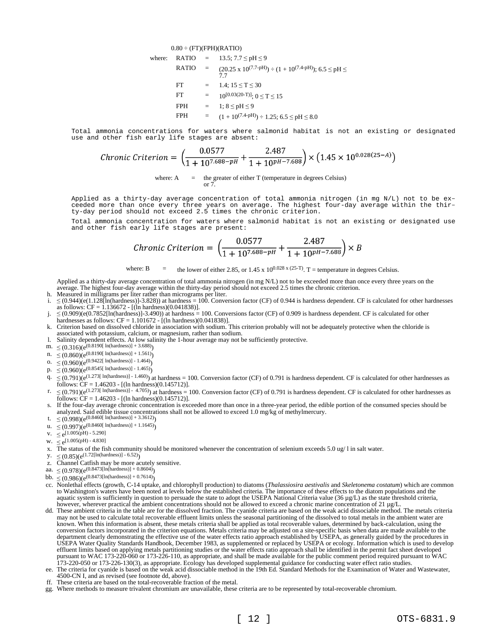$$
0.80 \div (\text{FT})(\text{FPH})(\text{RATIO})
$$
\nwhere: 
$$
\text{RATIO} = 13.5; 7.7 \leq pH \leq 9
$$
\n
$$
\text{RATIO} = (20.25 \times 10^{(7.7-pH)}) \div (1 + 10^{(7.4-pH)}); 6.5 \leq pH \leq 7.7
$$
\n
$$
\text{FT} = 1.4; 15 \leq T \leq 30
$$
\n
$$
\text{FT} = 10^{(0.03(20-T)!}; 0 \leq T \leq 15
$$
\n
$$
\text{FPH} = 1; 8 \leq pH \leq 9
$$
\n
$$
\text{FPH} = (1 + 10^{(7.4-pH)}) \div 1.25; 6.5 \leq pH \leq 8.0
$$

Total ammonia concentrations for waters where salmonid habitat is not an existing or designated use and other fish early life stages are absent:

Chronic Criterion = 
$$
\left(\frac{0.0577}{1 + 10^{7.688 - pH}} + \frac{2.487}{1 + 10^{pH - 7.688}}\right) \times \left(1.45 \times 10^{0.028(25-A)}\right)
$$
  
where: A = the greater of either T (temperature in degrees Celsius)

or 7.

Applied as a thirty-day average concentration of total ammonia nitrogen (in mg N/L) not to be exceeded more than once every three years on average. The highest four-day average within the thirty-day period should not exceed 2.5 times the chronic criterion.

Total ammonia concentration for waters where salmonid habitat is not an existing or designated use and other fish early life stages are present:

Chronic Criterion = 
$$
\left(\frac{0.0577}{1 + 10^{7.688 - pH}} + \frac{2.487}{1 + 10^{pH - 7.688}}\right) \times B
$$

where: B  $=$  the lower of either 2.85, or 1.45 x 10<sup>0.028 x (25-T)</sup>. T = temperature in degrees Celsius.

Applied as a thirty-day average concentration of total ammonia nitrogen (in mg N/L) not to be exceeded more than once every three years on the average. The highest four-day average within the thirty-day period should not exceed 2.5 times the chronic criterion.

- h. Measured in milligrams per liter rather than micrograms per liter.
- i.  $≤$  (0.944)(e(1.128[In(hardness)]-3.828)) at hardness = 100. Conversion factor (CF) of 0.944 is hardness dependent. CF is calculated for other hardnesses as follows: CF = 1.136672 - [(ln hardness)(0.041838)].
- $j. \leq (0.909)(e(0.7852[\text{In}(\text{hardness})]-3.490))$  at hardness = 100. Conversions factor (CF) of 0.909 is hardness dependent. CF is calculated for other hardnesses as follows: CF = 1.101672 - [(ln hardness)(0.041838)].
- k. Criterion based on dissolved chloride in association with sodium. This criterion probably will not be adequately protective when the chloride is associated with potassium, calcium, or magnesium, rather than sodium.
- l. Salinity dependent effects. At low salinity the 1-hour average may not be sufficiently protective.
- $m. \leq (0.316)(e^{(0.8190[ln(hardness)] + 3.688)})$
- n.  $\leq (0.860)(e^{(0.8190[ \ln(hardness)] + 1.561)})$
- o.  $\leq (0.960)(e^{(0.9422[ln(hardness)] 1.464)})$
- p.  $\leq (0.960)(e^{(0.8545[ln(hardness)] 1.465)})$
- 
- $q. \leq (0.791)(e^{(1.273[ In (hardness)] 1.460)})$  at hardness = 100. Conversion factor (CF) of 0.791 is hardness dependent. CF is calculated for other hardnesses as follows: CF = 1.46203 - [(ln hardness)(0.145712)].
- r.  $\leq (0.791)(e^{(1.273[In(hardness)] 4.705)})$  at hardness = 100. Conversion factor (CF) of 0.791 is hardness dependent. CF is calculated for other hardnesses as follows:  $CF = 1.46203 - [(ln hardness)(0.145712)].$
- s. If the four-day average chronic concentration is exceeded more than once in a three-year period, the edible portion of the consumed species should be analyzed. Said edible tissue concentrations shall not be allowed to exceed 1.0 mg/kg of methylmercury.
- t.  $\leq (0.998)(e^{(0.8460[ln(hardness)] + 3.3612)})$ u.  $\leq (0.997)(e^{(0.8460[\ln(hardness)] + 1.1645)})$
- 
- v.  $\leq e^{[1.005(pH) 5.290]}$
- w.  $\leq e^{[1.005(pH) 4.830]}$
- x. The status of the fish community should be monitored whenever the concentration of selenium exceeds 5.0 ug/ l in salt water.
- $y. \leq (0.85)(e^{(1.72[\ln(hardness)] 6.52)})$
- z. Channel Catfish may be more acutely sensitive.
- aa.  $\leq (0.978)(e^{(0.8473[\ln(\text{hardness})]+0.8604)})$
- bb.  $\leq (0.986)(e^{(0.8473[\ln(hardness)] + 0.7614)})$
- cc. Nonlethal effects (growth, C-14 uptake, and chlorophyll production) to diatoms (*Thalassiosira aestivalis* and *Skeletonema costatum*) which are common to Washington's waters have been noted at levels below the established criteria. The importance of these effects to the diatom populations and the aquatic system is sufficiently in question to persuade the state to adopt the USEPA National Criteria value (36 µg/L) as the state threshold criteria, however, wherever practical the ambient concentrations should not be allowed to exceed a chronic marine concentration of 21 µg/L.
- dd. These ambient criteria in the table are for the dissolved fraction. The cyanide criteria are based on the weak acid dissociable method. The metals criteria may not be used to calculate total recoverable effluent limits unless the seasonal partitioning of the dissolved to total metals in the ambient water are known. When this information is absent, these metals criteria shall be applied as total recoverable values, determined by back-calculation, using the conversion factors incorporated in the criterion equations. Metals criteria may be adjusted on a site-specific basis when data are made available to the department clearly demonstrating the effective use of the water effects ratio approach established by USEPA, as generally guided by the procedures in USEPA Water Quality Standards Handbook, December 1983, as supplemented or replaced by USEPA or ecology. Information which is used to develop effluent limits based on applying metals partitioning studies or the water effects ratio approach shall be identified in the permit fact sheet developed pursuant to WAC 173-220-060 or 173-226-110, as appropriate, and shall be made available for the public comment period required pursuant to WAC 173-220-050 or 173-226-130(3), as appropriate. Ecology has developed supplemental guidance for conducting water effect ratio studies. ee. The criteria for cyanide is based on the weak acid dissociable method in the 19th Ed. Standard Methods for the Examination of Water and Wastewater,
- 4500-CN I, and as revised (see footnote dd, above).
- ff. These criteria are based on the total-recoverable fraction of the metal.
- gg. Where methods to measure trivalent chromium are unavailable, these criteria are to be represented by total-recoverable chromium.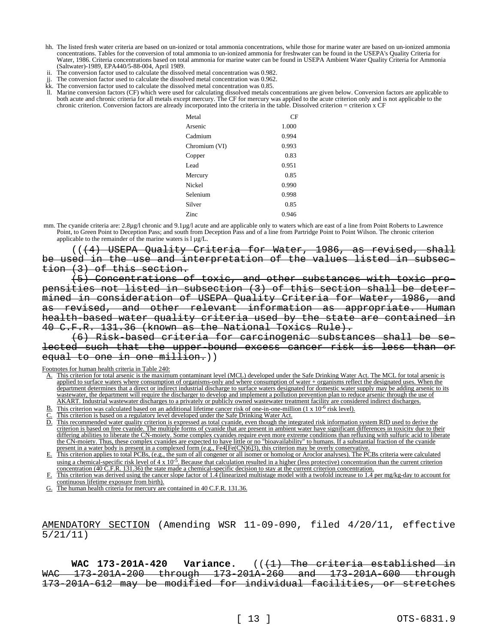- hh. The listed fresh water criteria are based on un-ionized or total ammonia concentrations, while those for marine water are based on un-ionized ammonia concentrations. Tables for the conversion of total ammonia to un-ionized ammonia for freshwater can be found in the USEPA's Quality Criteria for Water, 1986. Criteria concentrations based on total ammonia for marine water can be found in USEPA Ambient Water Quality Criteria for Ammonia (Saltwater)-1989, EPA440/5-88-004, April 1989.
- The conversion factor used to calculate the dissolved metal concentration was 0.982.
- The conversion factor used to calculate the dissolved metal concentration was 0.962.
- Kk. The conversion factor used to calculate the dissolved metal concentration was 0.85.
- ll. Marine conversion factors (CF) which were used for calculating dissolved metals concentrations are given below. Conversion factors are applicable to both acute and chronic criteria for all metals except mercury. The CF for mercury was applied to the acute criterion only and is not applicable to the chronic criterion. Conversion factors are already incorporated into the criteria in the table. Dissolved criterion = criterion x CF

| Metal         | CF    |
|---------------|-------|
| Arsenic       | 1.000 |
| Cadmium       | 0.994 |
| Chromium (VI) | 0.993 |
| Copper        | 0.83  |
| Lead          | 0.951 |
| Mercury       | 0.85  |
| Nickel        | 0.990 |
| Selenium      | 0.998 |
| Silver        | 0.85  |
| Zinc          | 0.946 |

mm. The cyanide criteria are: 2.8µg/l chronic and 9.1µg/l acute and are applicable only to waters which are east of a line from Point Roberts to Lawrence Point, to Green Point to Deception Pass; and south from Deception Pass and of a line from Partridge Point to Point Wilson. The chronic criterion applicable to the remainder of the marine waters is  $l \mu g/L$ .

(((4) USEPA Quality Criteria for Water, 1986, as revised, shall be used in the use and interpretation of the values listed in subsection (3) of this section.

(5) Concentrations of toxic, and other substances with toxic propensities not listed in subsection (3) of this section shall be determined in consideration of USEPA Quality Criteria for Water, 1986, and as revised, and other relevant information as appropriate. Human health-based water quality criteria used by the state are contained in 40 C.F.R. 131.36 (known as the National Toxics Rule).

(6) Risk-based criteria for carcinogenic substances shall be selected such that the upper-bound excess cancer risk is less than or equal to one in one million.))

Footnotes for human health criteria in Table 240:

- A. This criterion for total arsenic is the maximum contaminant level (MCL) developed under the Safe Drinking Water Act. The MCL for total arsenic is applied to surface waters where consumption of organisms-only and where consumption of water + organisms reflect the designated uses. When the department determines that a direct or indirect industrial discharge to surface waters designated for domestic water supply may be adding arsenic to its wastewater, the department will require the discharger to develop and implement a pollution prevention plan to reduce arsenic through the use of AKART. Industrial wastewater discharges to a privately or publicly owned wastewater treatment facility are considered indirect discharges.
- $\underline{B}$ . This criterion was calculated based on an additional lifetime cancer risk of one-in-one-million (1 x 10<sup>-6</sup> risk level).
- This criterion is based on a regulatory level developed under the Safe Drinking Water Act.
- D. This recommended water quality criterion is expressed as total cyanide, even though the integrated risk information system RfD used to derive the criterion is based on free cyanide. The multiple forms of cyanide that are present in ambient water have significant differences in toxicity due to their differing abilities to liberate the CN-moiety. Some complex cyanides require even more extreme conditions than refluxing with sulfuric acid to liberate the CN-moiety. Thus, these complex cyanides are expected to have little or no "bioavailability" to humans. If a substantial fraction of the cyanide present in a water body is present in a complexed form (e.g., Fe4[Fe(CN)6]3), this criterion may be overly conservative.
- E. This criterion applies to total PCBs, (e.g., the sum of all congener or all isomer or homolog or Aroclor analyses). The PCBs criteria were calculated using a chemical-specific risk level of  $4 \times 10^{-5}$ . Because that calculation resulted in a higher (less protective) concentration than the current criterion concentration  $(40 \tilde{C}$ .F.R. 131.36) the state made a chemical-specific decision to stay at the current criterion concentration.

This criterion was derived using the cancer slope factor of 1.4 (linearized multistage model with a twofold increase to 1.4 per mg/kg-day to account for continuous lifetime exposure from birth).

G. The human health criteria for mercury are contained in 40 C.F.R. 131.36.

AMENDATORY SECTION (Amending WSR 11-09-090, filed 4/20/11, effective 5/21/11)

WAC 173-201A-420 Variance. (( $\text{+1}$ ) The criteria established in WAC 173-201A-200 through 173-201A-260 and 173-201A-600 through 173-201A-612 may be modified for individual facilities, or stretches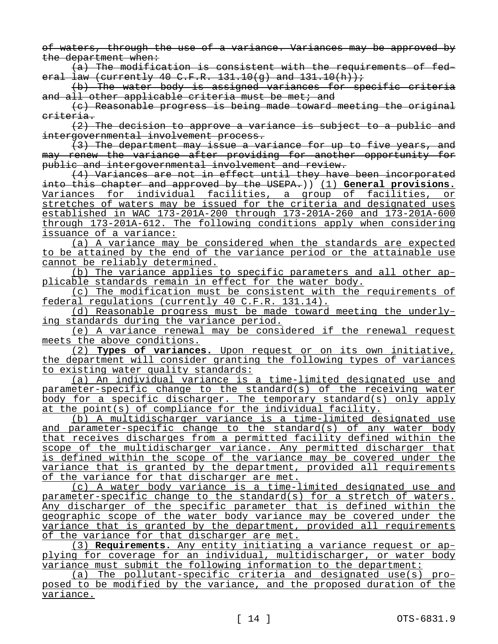of waters, through the use of a variance. Variances may be approved by the department when:

(a) The modification is consistent with the requirements of federal law (currently 40 C.F.R. 131.10(g) and  $131.10(h)$ ;

(b) The water body is assigned variances for specific criteria and all other applicable criteria must be met; and

(c) Reasonable progress is being made toward meeting the original criteria.

(2) The decision to approve a variance is subject to a public and intergovernmental involvement process.

(3) The department may issue a variance for up to five years, and may renew the variance after providing for another opportunity for public and intergovernmental involvement and review.

(4) Variances are not in effect until they have been incorporated into this chapter and approved by the USEPA.)) (1) **General provisions.**  Variances for individual facilities, a group of facilities, or stretches of waters may be issued for the criteria and designated uses established in WAC 173-201A-200 through 173-201A-260 and 173-201A-600 through 173-201A-612. The following conditions apply when considering issuance of a variance:

(a) A variance may be considered when the standards are expected to be attained by the end of the variance period or the attainable use cannot be reliably determined.

(b) The variance applies to specific parameters and all other applicable standards remain in effect for the water body.

(c) The modification must be consistent with the requirements of federal regulations (currently 40 C.F.R. 131.14).

(d) Reasonable progress must be made toward meeting the underlying standards during the variance period.

(e) A variance renewal may be considered if the renewal request meets the above conditions.

(2) **Types of variances.** Upon request or on its own initiative, the department will consider granting the following types of variances to existing water quality standards:

(a) An individual variance is a time-limited designated use and parameter-specific change to the standard(s) of the receiving water body for a specific discharger. The temporary standard(s) only apply at the point(s) of compliance for the individual facility.

(b) A multidischarger variance is a time-limited designated use and parameter-specific change to the standard(s) of any water body that receives discharges from a permitted facility defined within the scope of the multidischarger variance. Any permitted discharger that is defined within the scope of the variance may be covered under the variance that is granted by the department, provided all requirements of the variance for that discharger are met.

(c) A water body variance is a time-limited designated use and parameter-specific change to the standard(s) for a stretch of waters. Any discharger of the specific parameter that is defined within the geographic scope of the water body variance may be covered under the variance that is granted by the department, provided all requirements of the variance for that discharger are met.

(3) **Requirements.** Any entity initiating a variance request or applying for coverage for an individual, multidischarger, or water body variance must submit the following information to the department:

(a) The pollutant-specific criteria and designated use(s) proposed to be modified by the variance, and the proposed duration of the variance.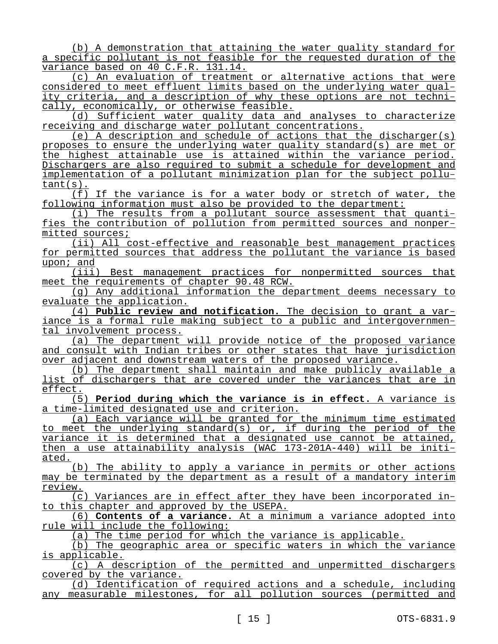(b) A demonstration that attaining the water quality standard for a specific pollutant is not feasible for the requested duration of the variance based on 40 C.F.R. 131.14.

(c) An evaluation of treatment or alternative actions that were considered to meet effluent limits based on the underlying water quality criteria, and a description of why these options are not technically, economically, or otherwise feasible.

(d) Sufficient water quality data and analyses to characterize receiving and discharge water pollutant concentrations.

(e) A description and schedule of actions that the discharger(s) proposes to ensure the underlying water quality standard(s) are met or the highest attainable use is attained within the variance period. Dischargers are also required to submit a schedule for development and implementation of a pollutant minimization plan for the subject pollutant(s).

(f) If the variance is for a water body or stretch of water, the following information must also be provided to the department:

(i) The results from a pollutant source assessment that quantifies the contribution of pollution from permitted sources and nonpermitted sources;

(ii) All cost-effective and reasonable best management practices for permitted sources that address the pollutant the variance is based upon; and

(iii) Best management practices for nonpermitted sources that meet the requirements of chapter 90.48 RCW.

(g) Any additional information the department deems necessary to evaluate the application.

(4) **Public review and notification.** The decision to grant a variance is a formal rule making subject to a public and intergovernmental involvement process.

(a) The department will provide notice of the proposed variance and consult with Indian tribes or other states that have jurisdiction over adjacent and downstream waters of the proposed variance.

(b) The department shall maintain and make publicly available a list of dischargers that are covered under the variances that are in effect.

(5) **Period during which the variance is in effect.** A variance is a time-limited designated use and criterion.

(a) Each variance will be granted for the minimum time estimated to meet the underlying standard(s) or, if during the period of the variance it is determined that a designated use cannot be attained, then a use attainability analysis (WAC 173-201A-440) will be initiated.

(b) The ability to apply a variance in permits or other actions may be terminated by the department as a result of a mandatory interim review.

(c) Variances are in effect after they have been incorporated into this chapter and approved by the USEPA.

(6) **Contents of a variance.** At a minimum a variance adopted into rule will include the following:

(a) The time period for which the variance is applicable.

(b) The geographic area or specific waters in which the variance is applicable.

(c) A description of the permitted and unpermitted dischargers covered by the variance.

(d) Identification of required actions and a schedule, including any measurable milestones, for all pollution sources (permitted and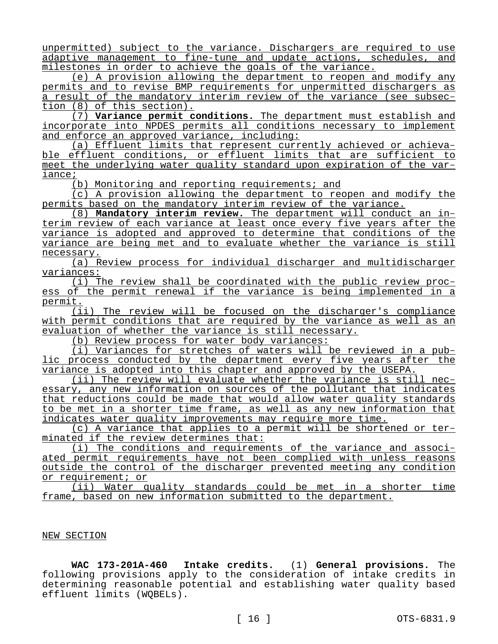unpermitted) subject to the variance. Dischargers are required to use adaptive management to fine-tune and update actions, schedules, and milestones in order to achieve the goals of the variance.

(e) A provision allowing the department to reopen and modify any permits and to revise BMP requirements for unpermitted dischargers as a result of the mandatory interim review of the variance (see subsection (8) of this section).

(7) **Variance permit conditions.** The department must establish and incorporate into NPDES permits all conditions necessary to implement and enforce an approved variance, including:

(a) Effluent limits that represent currently achieved or achievable effluent conditions, or effluent limits that are sufficient to meet the underlying water quality standard upon expiration of the variance;

(b) Monitoring and reporting requirements; and

(c) A provision allowing the department to reopen and modify the permits based on the mandatory interim review of the variance.

(8) **Mandatory interim review.** The department will conduct an interim review of each variance at least once every five years after the variance is adopted and approved to determine that conditions of the variance are being met and to evaluate whether the variance is still necessary.

(a) Review process for individual discharger and multidischarger variances:

(i) The review shall be coordinated with the public review process of the permit renewal if the variance is being implemented in a permit.

(ii) The review will be focused on the discharger's compliance with permit conditions that are required by the variance as well as an evaluation of whether the variance is still necessary.

(b) Review process for water body variances:

(i) Variances for stretches of waters will be reviewed in a public process conducted by the department every five years after the variance is adopted into this chapter and approved by the USEPA.

(ii) The review will evaluate whether the variance is still necessary, any new information on sources of the pollutant that indicates that reductions could be made that would allow water quality standards to be met in a shorter time frame, as well as any new information that indicates water quality improvements may require more time.

(c) A variance that applies to a permit will be shortened or terminated if the review determines that:

(i) The conditions and requirements of the variance and associated permit requirements have not been complied with unless reasons outside the control of the discharger prevented meeting any condition or requirement; or

(ii) Water quality standards could be met in a shorter time frame, based on new information submitted to the department.

## NEW SECTION

**WAC 173-201A-460 Intake credits.** (1) **General provisions.** The following provisions apply to the consideration of intake credits in determining reasonable potential and establishing water quality based effluent limits (WQBELs).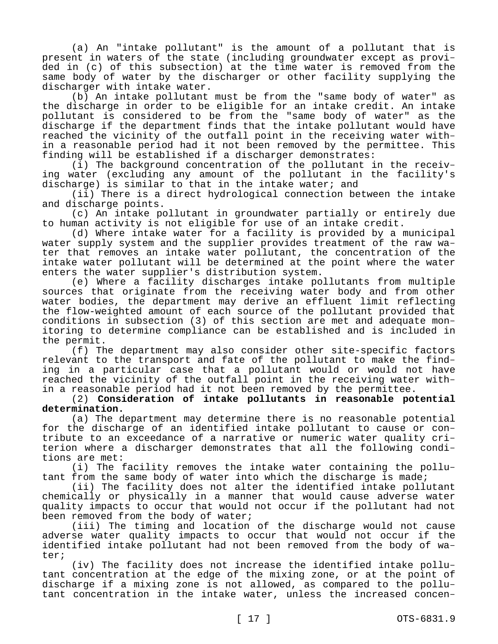(a) An "intake pollutant" is the amount of a pollutant that is present in waters of the state (including groundwater except as provided in (c) of this subsection) at the time water is removed from the same body of water by the discharger or other facility supplying the discharger with intake water.

(b) An intake pollutant must be from the "same body of water" as the discharge in order to be eligible for an intake credit. An intake pollutant is considered to be from the "same body of water" as the discharge if the department finds that the intake pollutant would have reached the vicinity of the outfall point in the receiving water within a reasonable period had it not been removed by the permittee. This finding will be established if a discharger demonstrates:

(i) The background concentration of the pollutant in the receiving water (excluding any amount of the pollutant in the facility's discharge) is similar to that in the intake water; and

(ii) There is a direct hydrological connection between the intake and discharge points.

(c) An intake pollutant in groundwater partially or entirely due to human activity is not eligible for use of an intake credit.

(d) Where intake water for a facility is provided by a municipal water supply system and the supplier provides treatment of the raw water that removes an intake water pollutant, the concentration of the intake water pollutant will be determined at the point where the water enters the water supplier's distribution system.

(e) Where a facility discharges intake pollutants from multiple sources that originate from the receiving water body and from other water bodies, the department may derive an effluent limit reflecting the flow-weighted amount of each source of the pollutant provided that conditions in subsection (3) of this section are met and adequate monitoring to determine compliance can be established and is included in the permit.

(f) The department may also consider other site-specific factors relevant to the transport and fate of the pollutant to make the finding in a particular case that a pollutant would or would not have reached the vicinity of the outfall point in the receiving water within a reasonable period had it not been removed by the permittee.

## (2) **Consideration of intake pollutants in reasonable potential determination.**

(a) The department may determine there is no reasonable potential for the discharge of an identified intake pollutant to cause or contribute to an exceedance of a narrative or numeric water quality criterion where a discharger demonstrates that all the following conditions are met:

(i) The facility removes the intake water containing the pollutant from the same body of water into which the discharge is made;

(ii) The facility does not alter the identified intake pollutant chemically or physically in a manner that would cause adverse water quality impacts to occur that would not occur if the pollutant had not been removed from the body of water;

(iii) The timing and location of the discharge would not cause adverse water quality impacts to occur that would not occur if the identified intake pollutant had not been removed from the body of water;

(iv) The facility does not increase the identified intake pollutant concentration at the edge of the mixing zone, or at the point of discharge if a mixing zone is not allowed, as compared to the pollutant concentration in the intake water, unless the increased concen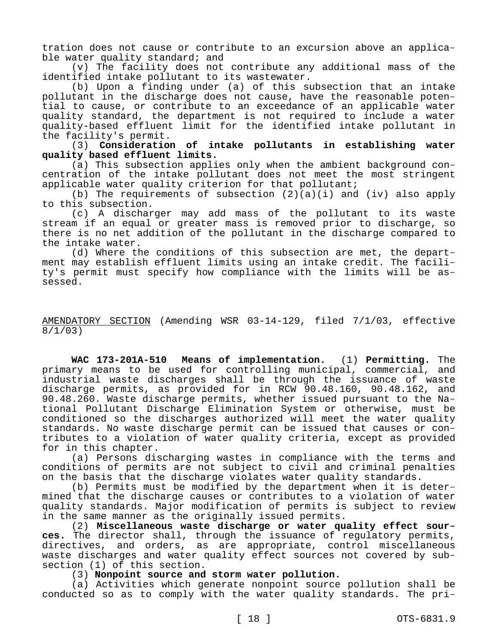tration does not cause or contribute to an excursion above an applicable water quality standard; and

(v) The facility does not contribute any additional mass of the identified intake pollutant to its wastewater.

(b) Upon a finding under (a) of this subsection that an intake pollutant in the discharge does not cause, have the reasonable potential to cause, or contribute to an exceedance of an applicable water quality standard, the department is not required to include a water quality-based effluent limit for the identified intake pollutant in the facility's permit.

(3) **Consideration of intake pollutants in establishing water quality based effluent limits.**

(a) This subsection applies only when the ambient background concentration of the intake pollutant does not meet the most stringent applicable water quality criterion for that pollutant;

(b) The requirements of subsection  $(2)(a)(i)$  and  $(iv)$  also apply to this subsection.

(c) A discharger may add mass of the pollutant to its waste stream if an equal or greater mass is removed prior to discharge, so there is no net addition of the pollutant in the discharge compared to the intake water.

(d) Where the conditions of this subsection are met, the department may establish effluent limits using an intake credit. The facility's permit must specify how compliance with the limits will be assessed.

## AMENDATORY SECTION (Amending WSR 03-14-129, filed 7/1/03, effective 8/1/03)

**WAC 173-201A-510 Means of implementation.** (1) **Permitting.** The primary means to be used for controlling municipal, commercial, and industrial waste discharges shall be through the issuance of waste discharge permits, as provided for in RCW 90.48.160, 90.48.162, and 90.48.260. Waste discharge permits, whether issued pursuant to the National Pollutant Discharge Elimination System or otherwise, must be conditioned so the discharges authorized will meet the water quality standards. No waste discharge permit can be issued that causes or contributes to a violation of water quality criteria, except as provided for in this chapter.

(a) Persons discharging wastes in compliance with the terms and conditions of permits are not subject to civil and criminal penalties on the basis that the discharge violates water quality standards.

(b) Permits must be modified by the department when it is determined that the discharge causes or contributes to a violation of water quality standards. Major modification of permits is subject to review in the same manner as the originally issued permits.

(2) **Miscellaneous waste discharge or water quality effect sources.** The director shall, through the issuance of regulatory permits, directives, and orders, as are appropriate, control miscellaneous waste discharges and water quality effect sources not covered by subsection (1) of this section.

## (3) **Nonpoint source and storm water pollution.**

(a) Activities which generate nonpoint source pollution shall be conducted so as to comply with the water quality standards. The pri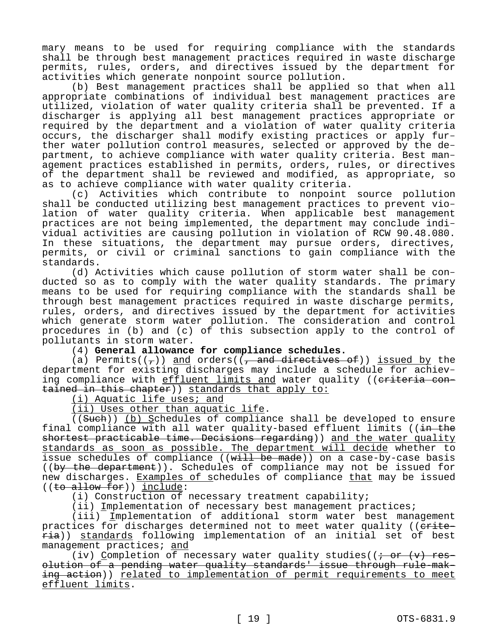mary means to be used for requiring compliance with the standards shall be through best management practices required in waste discharge permits, rules, orders, and directives issued by the department for activities which generate nonpoint source pollution.

(b) Best management practices shall be applied so that when all appropriate combinations of individual best management practices are utilized, violation of water quality criteria shall be prevented. If a discharger is applying all best management practices appropriate or required by the department and a violation of water quality criteria occurs, the discharger shall modify existing practices or apply further water pollution control measures, selected or approved by the department, to achieve compliance with water quality criteria. Best management practices established in permits, orders, rules, or directives of the department shall be reviewed and modified, as appropriate, so as to achieve compliance with water quality criteria.

(c) Activities which contribute to nonpoint source pollution shall be conducted utilizing best management practices to prevent violation of water quality criteria. When applicable best management practices are not being implemented, the department may conclude individual activities are causing pollution in violation of RCW 90.48.080. In these situations, the department may pursue orders, directives, permits, or civil or criminal sanctions to gain compliance with the standards.

(d) Activities which cause pollution of storm water shall be conducted so as to comply with the water quality standards. The primary means to be used for requiring compliance with the standards shall be through best management practices required in waste discharge permits, rules, orders, and directives issued by the department for activities which generate storm water pollution. The consideration and control procedures in (b) and (c) of this subsection apply to the control of pollutants in storm water.

(4) **General allowance for compliance schedules.**

(a) Permits( $(\tau)$ ) and orders( $(\tau)$  and directives of)) issued by the department for existing discharges may include a schedule for achieving compliance with effluent limits and water quality ((eriteria contained in this chapter)) standards that apply to:

(i) Aquatic life uses; and

(ii) Uses other than aquatic life.

((Such)) (b) Schedules of compliance shall be developed to ensure final compliance with all water quality-based effluent limits ( $(i + h + h)$ shortest practicable time. Decisions regarding)) and the water quality standards as soon as possible. The department will decide whether to issue schedules of compliance ((will be made)) on a case-by-case basis ((by the department)). Schedules of compliance may not be issued for new discharges. Examples of schedules of compliance that may be issued ((to allow for)) include:

(i) Construction of necessary treatment capability;

(ii) Implementation of necessary best management practices;

(iii) Implementation of additional storm water best management practices for discharges determined not to meet water quality ((erite- $\overline{\text{ria}}$ ) standards following implementation of an initial set of best management practices; and

(iv) Completion of necessary water quality studies( $\overline{(i + or (v) + res-1)}$ olution of a pending water quality standards' issue through rule-making action)) related to implementation of permit requirements to meet effluent limits.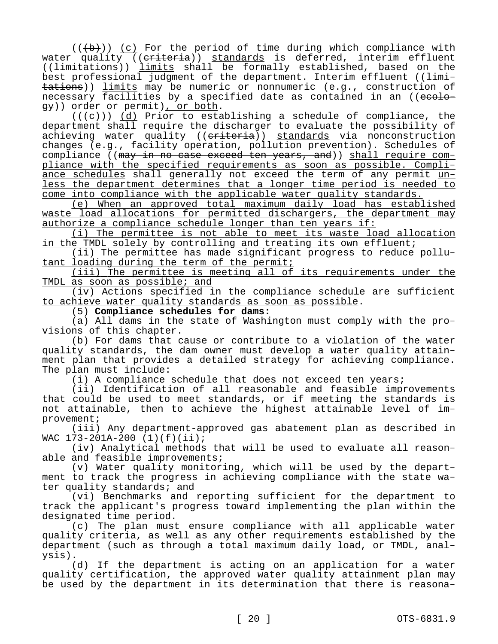$((+b))$  (c) For the period of time during which compliance with water quality ((criteria)) standards is deferred, interim effluent ((limitations)) limits shall be formally established, based on the best professional judgment of the department. Interim effluent ( $\frac{1}{\text{limit}}$ tations)) limits may be numeric or nonnumeric (e.g., construction of necessary facilities by a specified date as contained in an ((ecology)) order or permit), or both.

 $((+e))$  (d) Prior to establishing a schedule of compliance, the department shall require the discharger to evaluate the possibility of achieving water quality ((eriteria)) standards via nonconstruction changes (e.g., facility operation, pollution prevention). Schedules of compliance ((may in no case exceed ten years, and)) shall require compliance with the specified requirements as soon as possible. Compliance schedules shall generally not exceed the term of any permit unless the department determines that a longer time period is needed to come into compliance with the applicable water quality standards.

(e) When an approved total maximum daily load has established waste load allocations for permitted dischargers, the department may authorize a compliance schedule longer than ten years if:

(i) The permittee is not able to meet its waste load allocation in the TMDL solely by controlling and treating its own effluent;

(ii) The permittee has made significant progress to reduce pollutant loading during the term of the permit;

(iii) The permittee is meeting all of its requirements under the TMDL as soon as possible; and

(iv) Actions specified in the compliance schedule are sufficient to achieve water quality standards as soon as possible.

(5) **Compliance schedules for dams:**

(a) All dams in the state of Washington must comply with the provisions of this chapter.

(b) For dams that cause or contribute to a violation of the water quality standards, the dam owner must develop a water quality attainment plan that provides a detailed strategy for achieving compliance. The plan must include:

(i) A compliance schedule that does not exceed ten years;

(ii) Identification of all reasonable and feasible improvements that could be used to meet standards, or if meeting the standards is not attainable, then to achieve the highest attainable level of improvement;

(iii) Any department-approved gas abatement plan as described in WAC 173-201A-200 (1)(f)(ii);

(iv) Analytical methods that will be used to evaluate all reasonable and feasible improvements;

(v) Water quality monitoring, which will be used by the department to track the progress in achieving compliance with the state water quality standards; and

(vi) Benchmarks and reporting sufficient for the department to track the applicant's progress toward implementing the plan within the designated time period.

(c) The plan must ensure compliance with all applicable water quality criteria, as well as any other requirements established by the department (such as through a total maximum daily load, or TMDL, analysis).

(d) If the department is acting on an application for a water quality certification, the approved water quality attainment plan may be used by the department in its determination that there is reasona